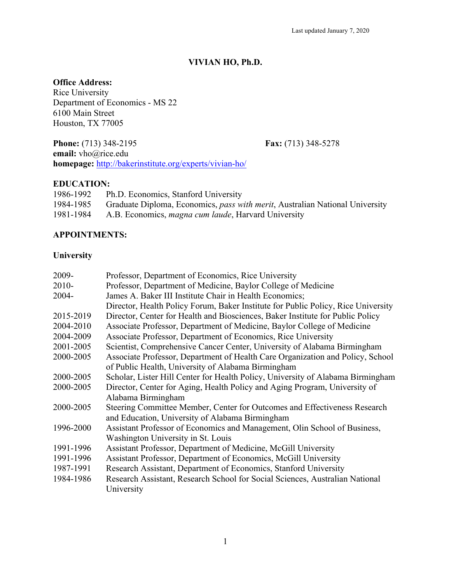## **VIVIAN HO, Ph.D.**

#### **Office Address:**

Rice University Department of Economics - MS 22 6100 Main Street Houston, TX 77005

**Phone:** (713) 348-2195 **Fax:** (713) 348-5278 **email:** vho@rice.edu **homepage:** http://bakerinstitute.org/experts/vivian-ho/

#### **EDUCATION:**

| 1986-1992 | Ph.D. Economics, Stanford University                                                 |
|-----------|--------------------------------------------------------------------------------------|
| 1984-1985 | Graduate Diploma, Economics, <i>pass with merit</i> , Australian National University |
| 1981-1984 | A.B. Economics, <i>magna cum laude</i> , Harvard University                          |

#### **APPOINTMENTS:**

#### **University**

| 2009-     | Professor, Department of Economics, Rice University                               |
|-----------|-----------------------------------------------------------------------------------|
| $2010-$   | Professor, Department of Medicine, Baylor College of Medicine                     |
| $2004 -$  | James A. Baker III Institute Chair in Health Economics;                           |
|           | Director, Health Policy Forum, Baker Institute for Public Policy, Rice University |
| 2015-2019 | Director, Center for Health and Biosciences, Baker Institute for Public Policy    |
| 2004-2010 | Associate Professor, Department of Medicine, Baylor College of Medicine           |
| 2004-2009 | Associate Professor, Department of Economics, Rice University                     |
| 2001-2005 | Scientist, Comprehensive Cancer Center, University of Alabama Birmingham          |
| 2000-2005 | Associate Professor, Department of Health Care Organization and Policy, School    |
|           | of Public Health, University of Alabama Birmingham                                |
| 2000-2005 | Scholar, Lister Hill Center for Health Policy, University of Alabama Birmingham   |
| 2000-2005 | Director, Center for Aging, Health Policy and Aging Program, University of        |
|           | Alabama Birmingham                                                                |
| 2000-2005 | Steering Committee Member, Center for Outcomes and Effectiveness Research         |
|           | and Education, University of Alabama Birmingham                                   |
| 1996-2000 | Assistant Professor of Economics and Management, Olin School of Business,         |
|           | Washington University in St. Louis                                                |
| 1991-1996 | Assistant Professor, Department of Medicine, McGill University                    |
| 1991-1996 | Assistant Professor, Department of Economics, McGill University                   |
| 1987-1991 | Research Assistant, Department of Economics, Stanford University                  |
| 1984-1986 | Research Assistant, Research School for Social Sciences, Australian National      |
|           | University                                                                        |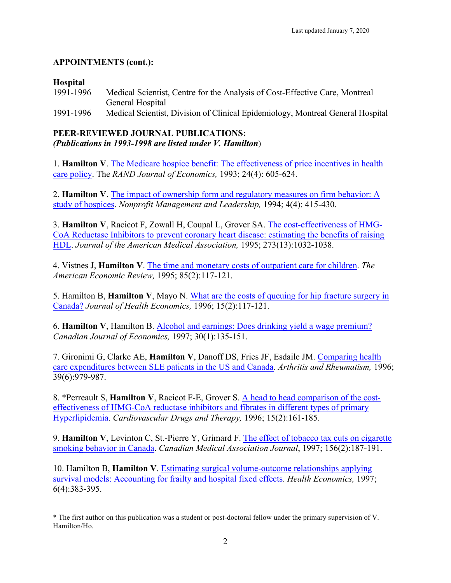## **APPOINTMENTS (cont.):**

### **Hospital**

1991-1996 Medical Scientist, Centre for the Analysis of Cost-Effective Care, Montreal General Hospital 1991-1996 Medical Scientist, Division of Clinical Epidemiology, Montreal General Hospital

#### **PEER-REVIEWED JOURNAL PUBLICATIONS:** *(Publications in 1993-1998 are listed under V. Hamilton*)

1. **Hamilton V**. The Medicare hospice benefit: The effectiveness of price incentives in health care policy. The *RAND Journal of Economics,* 1993; 24(4): 605-624.

2. **Hamilton V**. The impact of ownership form and regulatory measures on firm behavior: A study of hospices. *Nonprofit Management and Leadership,* 1994; 4(4): 415-430.

3. **Hamilton V**, Racicot F, Zowall H, Coupal L, Grover SA. The cost-effectiveness of HMG-CoA Reductase Inhibitors to prevent coronary heart disease: estimating the benefits of raising HDL. *Journal of the American Medical Association,* 1995; 273(13):1032-1038.

4. Vistnes J, **Hamilton V**. The time and monetary costs of outpatient care for children. *The American Economic Review,* 1995; 85(2):117-121.

5. Hamilton B, **Hamilton V**, Mayo N. What are the costs of queuing for hip fracture surgery in Canada? *Journal of Health Economics,* 1996; 15(2):117-121.

6. **Hamilton V**, Hamilton B. Alcohol and earnings: Does drinking yield a wage premium? *Canadian Journal of Economics,* 1997; 30(1):135-151.

7. Gironimi G, Clarke AE, **Hamilton V**, Danoff DS, Fries JF, Esdaile JM. Comparing health care expenditures between SLE patients in the US and Canada. *Arthritis and Rheumatism,* 1996; 39(6):979-987.

8. \*Perreault S, **Hamilton V**, Racicot F-E, Grover S. A head to head comparison of the costeffectiveness of HMG-CoA reductase inhibitors and fibrates in different types of primary Hyperlipidemia. *Cardiovascular Drugs and Therapy,* 1996; 15(2):161-185.

9. **Hamilton V**, Levinton C, St.-Pierre Y, Grimard F. The effect of tobacco tax cuts on cigarette smoking behavior in Canada. *Canadian Medical Association Journal*, 1997; 156(2):187-191.

10. Hamilton B, **Hamilton V**. Estimating surgical volume-outcome relationships applying survival models: Accounting for frailty and hospital fixed effects. *Health Economics,* 1997; 6(4):383-395.

 <sup>\*</sup> The first author on this publication was a student or post-doctoral fellow under the primary supervision of V. Hamilton/Ho.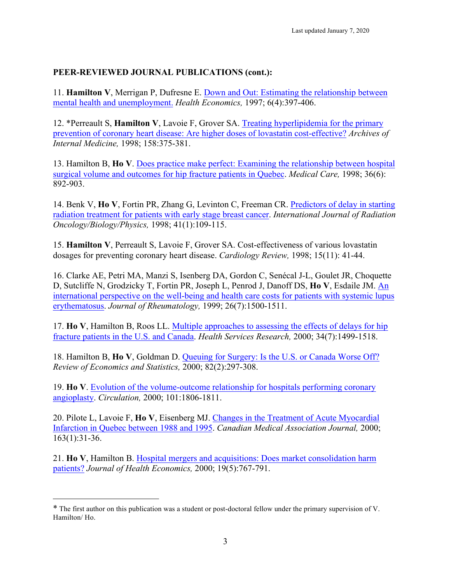11. **Hamilton V**, Merrigan P, Dufresne E. Down and Out: Estimating the relationship between mental health and unemployment. *Health Economics,* 1997; 6(4):397-406.

12. \*Perreault S, **Hamilton V**, Lavoie F, Grover SA. Treating hyperlipidemia for the primary prevention of coronary heart disease: Are higher doses of lovastatin cost-effective? *Archives of Internal Medicine,* 1998; 158:375-381.

13. Hamilton B, **Ho V**. Does practice make perfect: Examining the relationship between hospital surgical volume and outcomes for hip fracture patients in Quebec. *Medical Care,* 1998; 36(6): 892-903.

14. Benk V, **Ho V**, Fortin PR, Zhang G, Levinton C, Freeman CR. Predictors of delay in starting radiation treatment for patients with early stage breast cancer. *International Journal of Radiation Oncology/Biology/Physics,* 1998; 41(1):109-115.

15. **Hamilton V**, Perreault S, Lavoie F, Grover SA. Cost-effectiveness of various lovastatin dosages for preventing coronary heart disease. *Cardiology Review,* 1998; 15(11): 41-44.

16. Clarke AE, Petri MA, Manzi S, Isenberg DA, Gordon C, Senécal J-L, Goulet JR, Choquette D, Sutcliffe N, Grodzicky T, Fortin PR, Joseph L, Penrod J, Danoff DS, **Ho V**, Esdaile JM. An international perspective on the well-being and health care costs for patients with systemic lupus erythematosus. *Journal of Rheumatology,* 1999; 26(7):1500-1511.

17. **Ho V**, Hamilton B, Roos LL. Multiple approaches to assessing the effects of delays for hip fracture patients in the U.S. and Canada. *Health Services Research,* 2000; 34(7):1499-1518.

18. Hamilton B, **Ho V**, Goldman D. Queuing for Surgery: Is the U.S. or Canada Worse Off? *Review of Economics and Statistics,* 2000; 82(2):297-308.

19. **Ho V**. Evolution of the volume-outcome relationship for hospitals performing coronary angioplasty. *Circulation,* 2000; 101:1806-1811.

20. Pilote L, Lavoie F, **Ho V**, Eisenberg MJ. Changes in the Treatment of Acute Myocardial Infarction in Quebec between 1988 and 1995. *Canadian Medical Association Journal,* 2000; 163(1):31-36.

21. **Ho V**, Hamilton B. Hospital mergers and acquisitions: Does market consolidation harm patients? *Journal of Health Economics,* 2000; 19(5):767-791.

 $\overline{a}$ 

<sup>\*</sup> The first author on this publication was a student or post-doctoral fellow under the primary supervision of V. Hamilton/ Ho.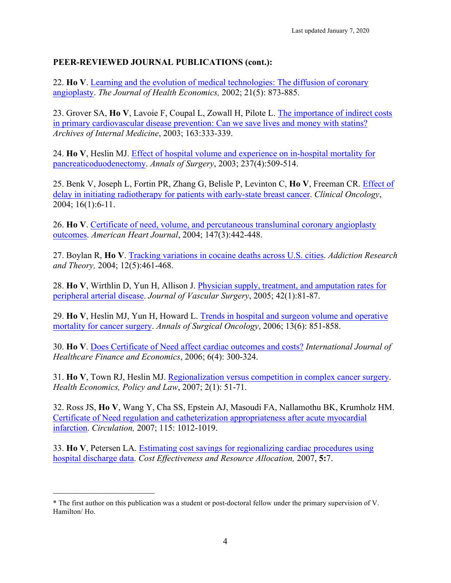22. **Ho V**. Learning and the evolution of medical technologies: The diffusion of coronary angioplasty. *The Journal of Health Economics,* 2002; 21(5): 873-885.

23. Grover SA, **Ho V**, Lavoie F, Coupal L, Zowall H, Pilote L. The importance of indirect costs in primary cardiovascular disease prevention: Can we save lives and money with statins? *Archives of Internal Medicine*, 2003; 163:333-339.

24. **Ho V**, Heslin MJ. Effect of hospital volume and experience on in-hospital mortality for pancreaticoduodenectomy. *Annals of Surgery*, 2003; 237(4):509-514.

25. Benk V, Joseph L, Fortin PR, Zhang G, Belisle P, Levinton C, **Ho V**, Freeman CR. Effect of delay in initiating radiotherapy for patients with early-state breast cancer. *Clinical Oncology*, 2004; 16(1):6-11.

26. **Ho V**. Certificate of need, volume, and percutaneous transluminal coronary angioplasty outcomes. *American Heart Journal*, 2004; 147(3):442-448.

27. Boylan R, **Ho V**. Tracking variations in cocaine deaths across U.S. cities. *Addiction Research and Theory,* 2004; 12(5):461-468.

28. **Ho V**, Wirthlin D, Yun H, Allison J. Physician supply, treatment, and amputation rates for peripheral arterial disease. *Journal of Vascular Surgery*, 2005; 42(1):81-87.

29. **Ho V**, Heslin MJ, Yun H, Howard L. Trends in hospital and surgeon volume and operative mortality for cancer surgery. *Annals of Surgical Oncology*, 2006; 13(6): 851-858.

30. **Ho V**. Does Certificate of Need affect cardiac outcomes and costs? *International Journal of Healthcare Finance and Economics*, 2006; 6(4): 300-324.

31. **Ho V**, Town RJ, Heslin MJ. Regionalization versus competition in complex cancer surgery. *Health Economics, Policy and Law*, 2007; 2(1): 51-71.

32. Ross JS, **Ho V**, Wang Y, Cha SS, Epstein AJ, Masoudi FA, Nallamothu BK, Krumholz HM. Certificate of Need regulation and catheterization appropriateness after acute myocardial infarction. *Circulation,* 2007; 115: 1012-1019.

33. **Ho V**, Petersen LA. Estimating cost savings for regionalizing cardiac procedures using hospital discharge data. *Cost Effectiveness and Resource Allocation,* 2007, **5:**7.

<sup>\*</sup> The first author on this publication was a student or post-doctoral fellow under the primary supervision of V. Hamilton/ Ho.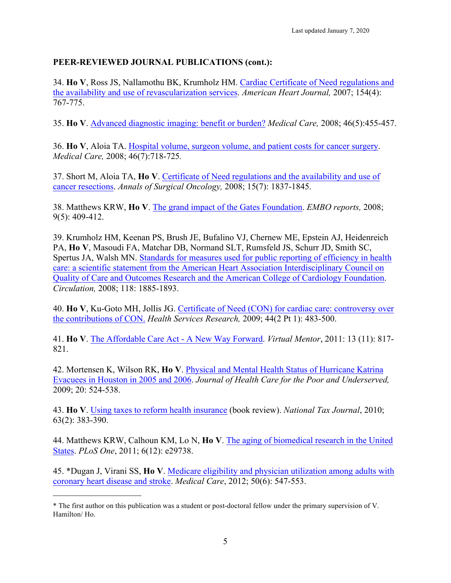34. **Ho V**, Ross JS, Nallamothu BK, Krumholz HM. Cardiac Certificate of Need regulations and the availability and use of revascularization services. *American Heart Journal,* 2007; 154(4): 767-775.

35. **Ho V**. Advanced diagnostic imaging: benefit or burden? *Medical Care,* 2008; 46(5):455-457.

36. **Ho V**, Aloia TA. Hospital volume, surgeon volume, and patient costs for cancer surgery. *Medical Care,* 2008; 46(7):718-725*.*

37. Short M, Aloia TA, **Ho V**. Certificate of Need regulations and the availability and use of cancer resections. *Annals of Surgical Oncology,* 2008; 15(7): 1837-1845.

38. Matthews KRW, **Ho V**. The grand impact of the Gates Foundation. *EMBO reports,* 2008; 9(5): 409-412.

39. Krumholz HM, Keenan PS, Brush JE, Bufalino VJ, Chernew ME, Epstein AJ, Heidenreich PA, **Ho V**, Masoudi FA, Matchar DB, Normand SLT, Rumsfeld JS, Schurr JD, Smith SC, Spertus JA, Walsh MN. Standards for measures used for public reporting of efficiency in health care: a scientific statement from the American Heart Association Interdisciplinary Council on Quality of Care and Outcomes Research and the American College of Cardiology Foundation. *Circulation,* 2008; 118: 1885-1893.

40. **Ho V**, Ku-Goto MH, Jollis JG. Certificate of Need (CON) for cardiac care: controversy over the contributions of CON. *Health Services Research,* 2009; 44(2 Pt 1): 483-500.

41. **Ho V**. The Affordable Care Act - A New Way Forward. *Virtual Mentor*, 2011: 13 (11): 817- 821.

42. Mortensen K, Wilson RK, **Ho V**. Physical and Mental Health Status of Hurricane Katrina Evacuees in Houston in 2005 and 2006. *Journal of Health Care for the Poor and Underserved,* 2009; 20: 524-538.

43. **Ho V**. Using taxes to reform health insurance (book review). *National Tax Journal*, 2010; 63(2): 383-390.

44. Matthews KRW, Calhoun KM, Lo N, **Ho V**. The aging of biomedical research in the United States. *PLoS One*, 2011; 6(12): e29738.

45. \*Dugan J, Virani SS, **Ho V**. Medicare eligibility and physician utilization among adults with coronary heart disease and stroke. *Medical Care*, 2012; 50(6): 547-553.

\_\_\_\_\_\_\_\_\_\_\_\_\_\_\_\_\_\_\_\_

<sup>\*</sup> The first author on this publication was a student or post-doctoral fellow under the primary supervision of V. Hamilton/ Ho.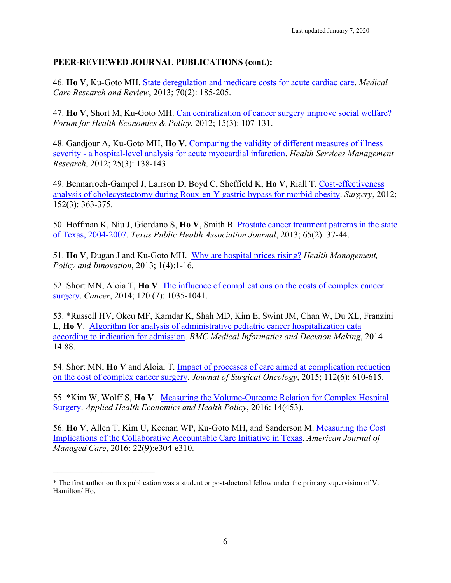46. **Ho V**, Ku-Goto MH. State deregulation and medicare costs for acute cardiac care. *Medical Care Research and Review*, 2013; 70(2): 185-205.

47. **Ho V**, Short M, Ku-Goto MH. Can centralization of cancer surgery improve social welfare? *Forum for Health Economics & Policy*, 2012; 15(3): 107-131.

48. Gandjour A, Ku-Goto MH, **Ho V**. Comparing the validity of different measures of illness severity - a hospital-level analysis for acute myocardial infarction. *Health Services Management Research*, 2012; 25(3): 138-143

49. Bennarroch-Gampel J, Lairson D, Boyd C, Sheffield K, **Ho V**, Riall T. Cost-effectiveness analysis of cholecystectomy during Roux-en-Y gastric bypass for morbid obesity. *Surgery*, 2012; 152(3): 363-375.

50. Hoffman K, Niu J, Giordano S, **Ho V**, Smith B. Prostate cancer treatment patterns in the state of Texas, 2004-2007. *Texas Public Health Association Journal*, 2013; 65(2): 37-44.

51. **Ho V**, Dugan J and Ku-Goto MH. Why are hospital prices rising? *Health Management, Policy and Innovation*, 2013; 1(4):1-16.

52. Short MN, Aloia T, **Ho V**. The influence of complications on the costs of complex cancer surgery. *Cancer*, 2014; 120 (7): 1035-1041.

53. \*Russell HV, Okcu MF, Kamdar K, Shah MD, Kim E, Swint JM, Chan W, Du XL, Franzini L, **Ho V**. Algorithm for analysis of administrative pediatric cancer hospitalization data according to indication for admission. *BMC Medical Informatics and Decision Making*, 2014 14:88.

54. Short MN, **Ho V** and Aloia, T. Impact of processes of care aimed at complication reduction on the cost of complex cancer surgery. *Journal of Surgical Oncology*, 2015; 112(6): 610-615.

55. \*Kim W, Wolff S, **Ho V**. Measuring the Volume-Outcome Relation for Complex Hospital Surgery. *Applied Health Economics and Health Policy*, 2016: 14(453).

56. **Ho V**, Allen T, Kim U, Keenan WP, Ku-Goto MH, and Sanderson M. Measuring the Cost Implications of the Collaborative Accountable Care Initiative in Texas. *American Journal of Managed Care*, 2016: 22(9):e304-e310.

 $\mathcal{L}_\text{max}$  , where  $\mathcal{L}_\text{max}$  , we have the set of  $\mathcal{L}_\text{max}$ 

<sup>\*</sup> The first author on this publication was a student or post-doctoral fellow under the primary supervision of V. Hamilton/ Ho.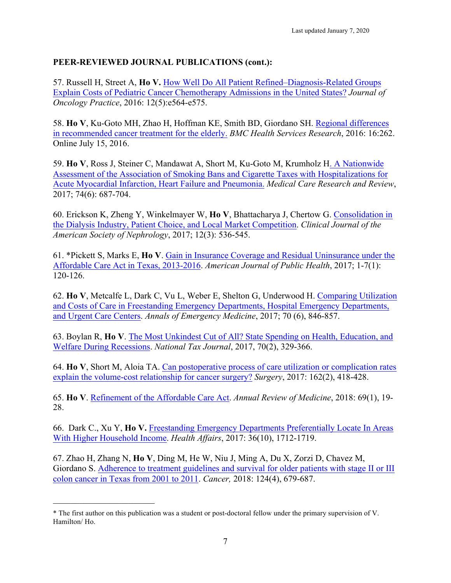57. Russell H, Street A, **Ho V.** How Well Do All Patient Refined–Diagnosis-Related Groups Explain Costs of Pediatric Cancer Chemotherapy Admissions in the United States? *Journal of Oncology Practice*, 2016: 12(5):e564-e575.

58. **Ho V**, Ku-Goto MH, Zhao H, Hoffman KE, Smith BD, Giordano SH. Regional differences in recommended cancer treatment for the elderly. *BMC Health Services Research*, 2016: 16:262. Online July 15, 2016.

59. **Ho V**, Ross J, Steiner C, Mandawat A, Short M, Ku-Goto M, Krumholz H. A Nationwide Assessment of the Association of Smoking Bans and Cigarette Taxes with Hospitalizations for Acute Myocardial Infarction, Heart Failure and Pneumonia. *Medical Care Research and Review*, 2017; 74(6): 687-704.

60. Erickson K, Zheng Y, Winkelmayer W, **Ho V**, Bhattacharya J, Chertow G. Consolidation in the Dialysis Industry, Patient Choice, and Local Market Competition. *Clinical Journal of the American Society of Nephrology*, 2017; 12(3): 536-545.

61. \*Pickett S, Marks E, **Ho V**. Gain in Insurance Coverage and Residual Uninsurance under the Affordable Care Act in Texas, 2013-2016. *American Journal of Public Health*, 2017; 1-7(1): 120-126.

62. **Ho V**, Metcalfe L, Dark C, Vu L, Weber E, Shelton G, Underwood H. Comparing Utilization and Costs of Care in Freestanding Emergency Departments, Hospital Emergency Departments, and Urgent Care Centers. *Annals of Emergency Medicine*, 2017; 70 (6), 846-857.

63. Boylan R, **Ho V**. The Most Unkindest Cut of All? State Spending on Health, Education, and Welfare During Recessions. *National Tax Journal*, 2017, 70(2), 329-366.

64. **Ho V**, Short M, Aloia TA. Can postoperative process of care utilization or complication rates explain the volume-cost relationship for cancer surgery? *Surgery*, 2017: 162(2), 418-428.

65. **Ho V**. Refinement of the Affordable Care Act. *Annual Review of Medicine*, 2018: 69(1), 19- 28.

66. Dark C., Xu Y, **Ho V.** Freestanding Emergency Departments Preferentially Locate In Areas With Higher Household Income. *Health Affairs*, 2017: 36(10), 1712-1719.

67. Zhao H, Zhang N, **Ho V**, Ding M, He W, Niu J, Ming A, Du X, Zorzi D, Chavez M, Giordano S. Adherence to treatment guidelines and survival for older patients with stage II or III colon cancer in Texas from 2001 to 2011. *Cancer,* 2018: 124(4), 679-687.

<sup>\*</sup> The first author on this publication was a student or post-doctoral fellow under the primary supervision of V. Hamilton/ Ho.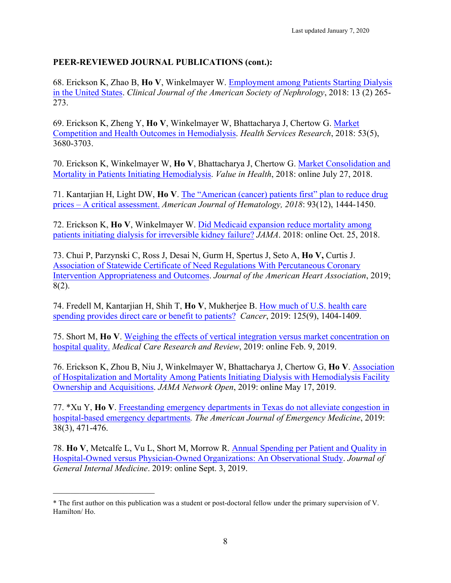68. Erickson K, Zhao B, **Ho V**, Winkelmayer W. Employment among Patients Starting Dialysis in the United States. *Clinical Journal of the American Society of Nephrology*, 2018: 13 (2) 265- 273.

69. Erickson K, Zheng Y, **Ho V**, Winkelmayer W, Bhattacharya J, Chertow G. Market Competition and Health Outcomes in Hemodialysis. *Health Services Research*, 2018: 53(5), 3680-3703.

70. Erickson K, Winkelmayer W, **Ho V**, Bhattacharya J, Chertow G. Market Consolidation and Mortality in Patients Initiating Hemodialysis. *Value in Health*, 2018: online July 27, 2018.

71. Kantarjian H, Light DW, **Ho V**. The "American (cancer) patients first" plan to reduce drug prices – A critical assessment. *American Journal of Hematology, 2018*: 93(12), 1444-1450.

72. Erickson K, **Ho V**, Winkelmayer W. Did Medicaid expansion reduce mortality among patients initiating dialysis for irreversible kidney failure? *JAMA*. 2018: online Oct. 25, 2018.

73. Chui P, Parzynski C, Ross J, Desai N, Gurm H, Spertus J, Seto A, **Ho V,** Curtis J. Association of Statewide Certificate of Need Regulations With Percutaneous Coronary Intervention Appropriateness and Outcomes. *Journal of the American Heart Association*, 2019; 8(2).

74. Fredell M, Kantarjian H, Shih T, **Ho V**, Mukherjee B. How much of U.S. health care spending provides direct care or benefit to patients? *Cancer*, 2019: 125(9), 1404-1409.

75. Short M, **Ho V**. Weighing the effects of vertical integration versus market concentration on hospital quality. *Medical Care Research and Review*, 2019: online Feb. 9, 2019.

76. Erickson K, Zhou B, Niu J, Winkelmayer W, Bhattacharya J, Chertow G, **Ho V**. Association of Hospitalization and Mortality Among Patients Initiating Dialysis with Hemodialysis Facility Ownership and Acquisitions. *JAMA Network Open*, 2019: online May 17, 2019.

77. \*Xu Y, **Ho V**. Freestanding emergency departments in Texas do not alleviate congestion in hospital-based emergency departments*. The American Journal of Emergency Medicine*, 2019: 38(3), 471-476.

78. **Ho V**, Metcalfe L, Vu L, Short M, Morrow R. Annual Spending per Patient and Quality in Hospital-Owned versus Physician-Owned Organizations: An Observational Study. *Journal of General Internal Medicine*. 2019: online Sept. 3, 2019.

<sup>\*</sup> The first author on this publication was a student or post-doctoral fellow under the primary supervision of V. Hamilton/ Ho.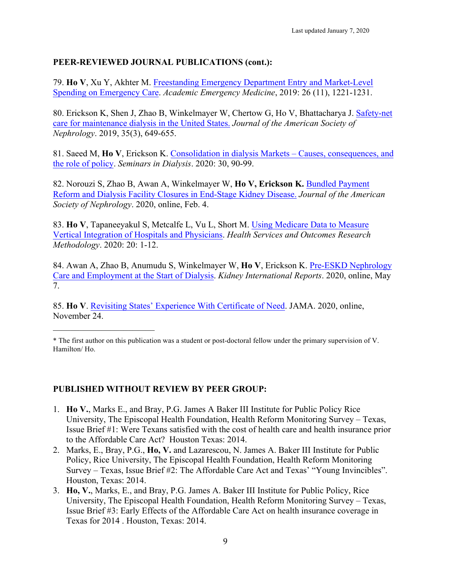79. **Ho V**, Xu Y, Akhter M. Freestanding Emergency Department Entry and Market-Level Spending on Emergency Care. *Academic Emergency Medicine*, 2019: 26 (11), 1221-1231.

80. Erickson K, Shen J, Zhao B, Winkelmayer W, Chertow G, Ho V, Bhattacharya J. Safety-net care for maintenance dialysis in the United States. *Journal of the American Society of Nephrology*. 2019, 35(3), 649-655.

81. Saeed M, **Ho V**, Erickson K. Consolidation in dialysis Markets – Causes, consequences, and the role of policy. *Seminars in Dialysis*. 2020: 30, 90-99.

82. Norouzi S, Zhao B, Awan A, Winkelmayer W, **Ho V, Erickson K.** Bundled Payment Reform and Dialysis Facility Closures in End-Stage Kidney Disease. *Journal of the American Society of Nephrology*. 2020, online, Feb. 4.

83. **Ho V**, Tapaneeyakul S, Metcalfe L, Vu L, Short M. Using Medicare Data to Measure Vertical Integration of Hospitals and Physicians. *Health Services and Outcomes Research Methodology*. 2020: 20: 1-12.

84. Awan A, Zhao B, Anumudu S, Winkelmayer W, **Ho V**, Erickson K. Pre-ESKD Nephrology Care and Employment at the Start of Dialysis. *Kidney International Reports*. 2020, online, May 7.

85. **Ho V**. Revisiting States' Experience With Certificate of Need. JAMA. 2020, online, November 24.

#### **PUBLISHED WITHOUT REVIEW BY PEER GROUP:**

- 1. **Ho V.**, Marks E., and Bray, P.G. James A Baker III Institute for Public Policy Rice University, The Episcopal Health Foundation, Health Reform Monitoring Survey – Texas, Issue Brief #1: Were Texans satisfied with the cost of health care and health insurance prior to the Affordable Care Act? Houston Texas: 2014.
- 2. Marks, E., Bray, P.G., **Ho, V.** and Lazarescou, N. James A. Baker III Institute for Public Policy, Rice University, The Episcopal Health Foundation, Health Reform Monitoring Survey – Texas, Issue Brief #2: The Affordable Care Act and Texas' "Young Invincibles". Houston, Texas: 2014.
- 3. **Ho, V.**, Marks, E., and Bray, P.G. James A. Baker III Institute for Public Policy, Rice University, The Episcopal Health Foundation, Health Reform Monitoring Survey – Texas, Issue Brief #3: Early Effects of the Affordable Care Act on health insurance coverage in Texas for 2014 . Houston, Texas: 2014.

<sup>\*</sup> The first author on this publication was a student or post-doctoral fellow under the primary supervision of V. Hamilton/ Ho.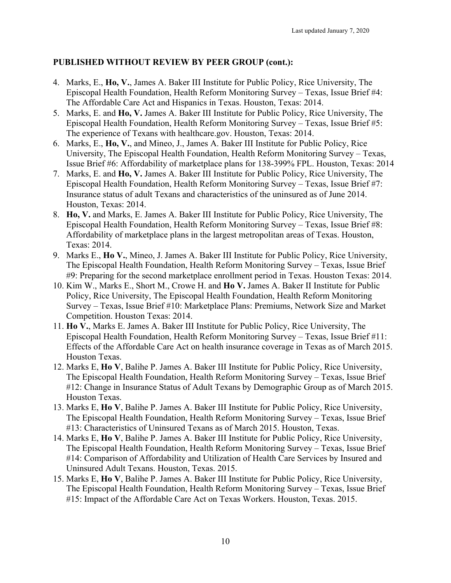## **PUBLISHED WITHOUT REVIEW BY PEER GROUP (cont.):**

- 4. Marks, E., **Ho, V.**, James A. Baker III Institute for Public Policy, Rice University, The Episcopal Health Foundation, Health Reform Monitoring Survey – Texas, Issue Brief #4: The Affordable Care Act and Hispanics in Texas. Houston, Texas: 2014.
- 5. Marks, E. and **Ho, V.** James A. Baker III Institute for Public Policy, Rice University, The Episcopal Health Foundation, Health Reform Monitoring Survey – Texas, Issue Brief #5: The experience of Texans with healthcare.gov. Houston, Texas: 2014.
- 6. Marks, E., **Ho, V.**, and Mineo, J., James A. Baker III Institute for Public Policy, Rice University, The Episcopal Health Foundation, Health Reform Monitoring Survey – Texas, Issue Brief #6: Affordability of marketplace plans for 138-399% FPL. Houston, Texas: 2014
- 7. Marks, E. and **Ho, V.** James A. Baker III Institute for Public Policy, Rice University, The Episcopal Health Foundation, Health Reform Monitoring Survey – Texas, Issue Brief #7: Insurance status of adult Texans and characteristics of the uninsured as of June 2014. Houston, Texas: 2014.
- 8. **Ho, V.** and Marks, E. James A. Baker III Institute for Public Policy, Rice University, The Episcopal Health Foundation, Health Reform Monitoring Survey – Texas, Issue Brief #8: Affordability of marketplace plans in the largest metropolitan areas of Texas. Houston, Texas: 2014.
- 9. Marks E., **Ho V.**, Mineo, J. James A. Baker III Institute for Public Policy, Rice University, The Episcopal Health Foundation, Health Reform Monitoring Survey – Texas, Issue Brief #9: Preparing for the second marketplace enrollment period in Texas. Houston Texas: 2014.
- 10. Kim W., Marks E., Short M., Crowe H. and **Ho V.** James A. Baker II Institute for Public Policy, Rice University, The Episcopal Health Foundation, Health Reform Monitoring Survey – Texas, Issue Brief #10: Marketplace Plans: Premiums, Network Size and Market Competition. Houston Texas: 2014.
- 11. **Ho V.**, Marks E. James A. Baker III Institute for Public Policy, Rice University, The Episcopal Health Foundation, Health Reform Monitoring Survey – Texas, Issue Brief #11: Effects of the Affordable Care Act on health insurance coverage in Texas as of March 2015. Houston Texas.
- 12. Marks E, **Ho V**, Balihe P. James A. Baker III Institute for Public Policy, Rice University, The Episcopal Health Foundation, Health Reform Monitoring Survey – Texas, Issue Brief #12: Change in Insurance Status of Adult Texans by Demographic Group as of March 2015. Houston Texas.
- 13. Marks E, **Ho V**, Balihe P. James A. Baker III Institute for Public Policy, Rice University, The Episcopal Health Foundation, Health Reform Monitoring Survey – Texas, Issue Brief #13: Characteristics of Uninsured Texans as of March 2015. Houston, Texas.
- 14. Marks E, **Ho V**, Balihe P. James A. Baker III Institute for Public Policy, Rice University, The Episcopal Health Foundation, Health Reform Monitoring Survey – Texas, Issue Brief #14: Comparison of Affordability and Utilization of Health Care Services by Insured and Uninsured Adult Texans. Houston, Texas. 2015.
- 15. Marks E, **Ho V**, Balihe P. James A. Baker III Institute for Public Policy, Rice University, The Episcopal Health Foundation, Health Reform Monitoring Survey – Texas, Issue Brief #15: Impact of the Affordable Care Act on Texas Workers. Houston, Texas. 2015.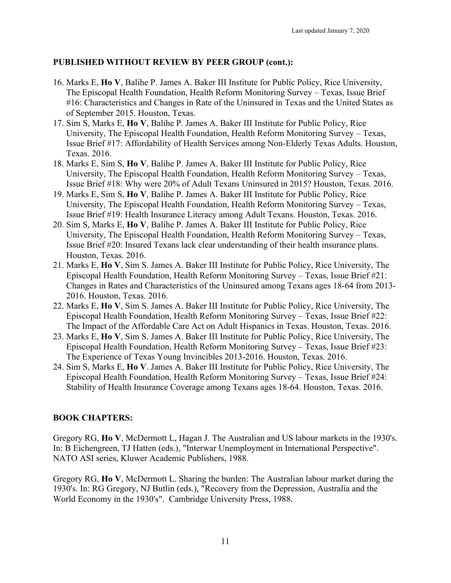## **PUBLISHED WITHOUT REVIEW BY PEER GROUP (cont.):**

- 16. Marks E, **Ho V**, Balihe P. James A. Baker III Institute for Public Policy, Rice University, The Episcopal Health Foundation, Health Reform Monitoring Survey – Texas, Issue Brief #16: Characteristics and Changes in Rate of the Uninsured in Texas and the United States as of September 2015. Houston, Texas.
- 17. Sim S, Marks E, **Ho V**, Balihe P. James A. Baker III Institute for Public Policy, Rice University, The Episcopal Health Foundation, Health Reform Monitoring Survey – Texas, Issue Brief #17: Affordability of Health Services among Non-Elderly Texas Adults. Houston, Texas. 2016.
- 18. Marks E, Sim S, **Ho V**, Balihe P. James A. Baker III Institute for Public Policy, Rice University, The Episcopal Health Foundation, Health Reform Monitoring Survey – Texas, Issue Brief #18: Why were 20% of Adult Texans Uninsured in 2015? Houston, Texas. 2016.
- 19. Marks E, Sim S, **Ho V**, Balihe P. James A. Baker III Institute for Public Policy, Rice University, The Episcopal Health Foundation, Health Reform Monitoring Survey – Texas, Issue Brief #19: Health Insurance Literacy among Adult Texans. Houston, Texas. 2016.
- 20. Sim S, Marks E, **Ho V**, Balihe P. James A. Baker III Institute for Public Policy, Rice University, The Episcopal Health Foundation, Health Reform Monitoring Survey – Texas, Issue Brief #20: Insured Texans lack clear understanding of their health insurance plans. Houston, Texas. 2016.
- 21. Marks E, **Ho V**, Sim S. James A. Baker III Institute for Public Policy, Rice University, The Episcopal Health Foundation, Health Reform Monitoring Survey – Texas, Issue Brief #21: Changes in Rates and Characteristics of the Uninsured among Texans ages 18-64 from 2013- 2016. Houston, Texas. 2016.
- 22. Marks E, **Ho V**, Sim S. James A. Baker III Institute for Public Policy, Rice University, The Episcopal Health Foundation, Health Reform Monitoring Survey – Texas, Issue Brief #22: The Impact of the Affordable Care Act on Adult Hispanics in Texas. Houston, Texas. 2016.
- 23. Marks E, **Ho V**, Sim S. James A. Baker III Institute for Public Policy, Rice University, The Episcopal Health Foundation, Health Reform Monitoring Survey – Texas, Issue Brief #23: The Experience of Texas Young Invincibles 2013-2016. Houston, Texas. 2016.
- 24. Sim S, Marks E, **Ho V**. James A. Baker III Institute for Public Policy, Rice University, The Episcopal Health Foundation, Health Reform Monitoring Survey – Texas, Issue Brief #24: Stability of Health Insurance Coverage among Texans ages 18-64. Houston, Texas. 2016.

## **BOOK CHAPTERS:**

Gregory RG, **Ho V**, McDermott L, Hagan J. The Australian and US labour markets in the 1930's. In: B Eichengreen, TJ Hatten (eds.), "Interwar Unemployment in International Perspective". NATO ASI series, Kluwer Academic Publishers, 1988.

Gregory RG, **Ho V**, McDermott L. Sharing the burden: The Australian labour market during the 1930's. In: RG Gregory, NJ Butlin (eds.), "Recovery from the Depression, Australia and the World Economy in the 1930's". Cambridge University Press, 1988.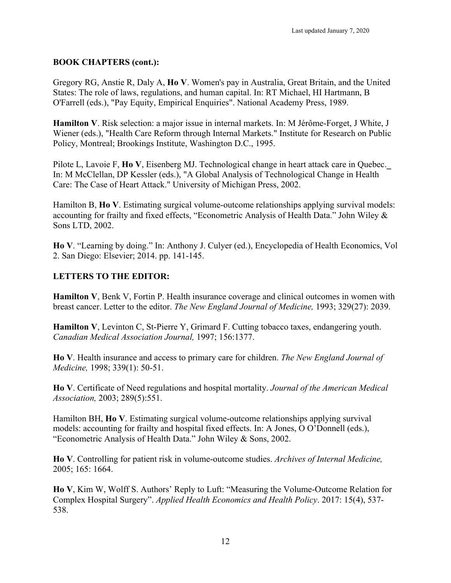### **BOOK CHAPTERS (cont.):**

Gregory RG, Anstie R, Daly A, **Ho V**. Women's pay in Australia, Great Britain, and the United States: The role of laws, regulations, and human capital. In: RT Michael, HI Hartmann, B O'Farrell (eds.), "Pay Equity, Empirical Enquiries". National Academy Press, 1989.

**Hamilton V**. Risk selection: a major issue in internal markets. In: M Jérôme-Forget, J White, J Wiener (eds.), "Health Care Reform through Internal Markets." Institute for Research on Public Policy, Montreal; Brookings Institute, Washington D.C., 1995.

Pilote L, Lavoie F, **Ho V**, Eisenberg MJ. Technological change in heart attack care in Quebec.\_ In: M McClellan, DP Kessler (eds.), "A Global Analysis of Technological Change in Health Care: The Case of Heart Attack." University of Michigan Press, 2002.

Hamilton B, **Ho V**. Estimating surgical volume-outcome relationships applying survival models: accounting for frailty and fixed effects, "Econometric Analysis of Health Data." John Wiley & Sons LTD, 2002.

**Ho V**. "Learning by doing." In: Anthony J. Culyer (ed.), Encyclopedia of Health Economics, Vol 2. San Diego: Elsevier; 2014. pp. 141-145.

#### **LETTERS TO THE EDITOR:**

**Hamilton V**, Benk V, Fortin P. Health insurance coverage and clinical outcomes in women with breast cancer. Letter to the editor. *The New England Journal of Medicine,* 1993; 329(27): 2039.

**Hamilton V**, Levinton C, St-Pierre Y, Grimard F. Cutting tobacco taxes, endangering youth. *Canadian Medical Association Journal,* 1997; 156:1377.

**Ho V**. Health insurance and access to primary care for children. *The New England Journal of Medicine,* 1998; 339(1): 50-51.

**Ho V**. Certificate of Need regulations and hospital mortality. *Journal of the American Medical Association,* 2003; 289(5):551.

Hamilton BH, **Ho V**. Estimating surgical volume-outcome relationships applying survival models: accounting for frailty and hospital fixed effects. In: A Jones, O O'Donnell (eds.), "Econometric Analysis of Health Data." John Wiley & Sons, 2002.

**Ho V**. Controlling for patient risk in volume-outcome studies. *Archives of Internal Medicine,* 2005; 165: 1664.

**Ho V**, Kim W, Wolff S. Authors' Reply to Luft: "Measuring the Volume-Outcome Relation for Complex Hospital Surgery". *Applied Health Economics and Health Policy*. 2017: 15(4), 537- 538.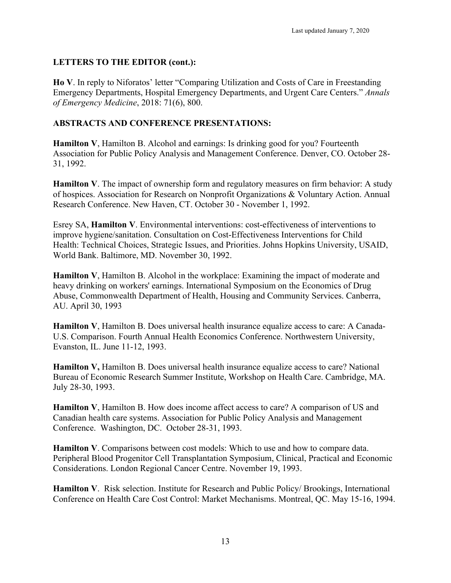### **LETTERS TO THE EDITOR (cont.):**

**Ho V**. In reply to Niforatos' letter "Comparing Utilization and Costs of Care in Freestanding Emergency Departments, Hospital Emergency Departments, and Urgent Care Centers." *Annals of Emergency Medicine*, 2018: 71(6), 800.

### **ABSTRACTS AND CONFERENCE PRESENTATIONS:**

**Hamilton V**, Hamilton B. Alcohol and earnings: Is drinking good for you? Fourteenth Association for Public Policy Analysis and Management Conference. Denver, CO. October 28- 31, 1992.

**Hamilton V**. The impact of ownership form and regulatory measures on firm behavior: A study of hospices. Association for Research on Nonprofit Organizations & Voluntary Action. Annual Research Conference. New Haven, CT. October 30 - November 1, 1992.

Esrey SA, **Hamilton V**. Environmental interventions: cost-effectiveness of interventions to improve hygiene/sanitation. Consultation on Cost-Effectiveness Interventions for Child Health: Technical Choices, Strategic Issues, and Priorities. Johns Hopkins University, USAID, World Bank. Baltimore, MD. November 30, 1992.

**Hamilton V**, Hamilton B. Alcohol in the workplace: Examining the impact of moderate and heavy drinking on workers' earnings. International Symposium on the Economics of Drug Abuse, Commonwealth Department of Health, Housing and Community Services. Canberra, AU. April 30, 1993

**Hamilton V**, Hamilton B. Does universal health insurance equalize access to care: A Canada-U.S. Comparison. Fourth Annual Health Economics Conference. Northwestern University, Evanston, IL. June 11-12, 1993.

**Hamilton V,** Hamilton B. Does universal health insurance equalize access to care? National Bureau of Economic Research Summer Institute, Workshop on Health Care. Cambridge, MA. July 28-30, 1993.

**Hamilton V**, Hamilton B. How does income affect access to care? A comparison of US and Canadian health care systems. Association for Public Policy Analysis and Management Conference. Washington, DC. October 28-31, 1993.

**Hamilton V**. Comparisons between cost models: Which to use and how to compare data. Peripheral Blood Progenitor Cell Transplantation Symposium, Clinical, Practical and Economic Considerations. London Regional Cancer Centre. November 19, 1993.

**Hamilton V**. Risk selection. Institute for Research and Public Policy/ Brookings, International Conference on Health Care Cost Control: Market Mechanisms. Montreal, QC. May 15-16, 1994.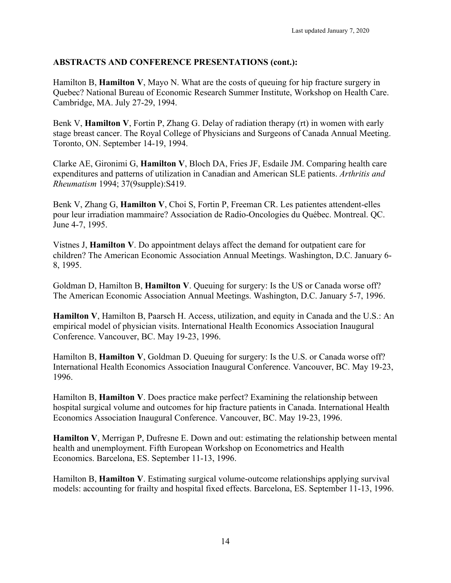Hamilton B, **Hamilton V**, Mayo N. What are the costs of queuing for hip fracture surgery in Quebec? National Bureau of Economic Research Summer Institute, Workshop on Health Care. Cambridge, MA. July 27-29, 1994.

Benk V, **Hamilton V**, Fortin P, Zhang G. Delay of radiation therapy (rt) in women with early stage breast cancer. The Royal College of Physicians and Surgeons of Canada Annual Meeting. Toronto, ON. September 14-19, 1994.

Clarke AE, Gironimi G, **Hamilton V**, Bloch DA, Fries JF, Esdaile JM. Comparing health care expenditures and patterns of utilization in Canadian and American SLE patients. *Arthritis and Rheumatism* 1994; 37(9supple):S419.

Benk V, Zhang G, **Hamilton V**, Choi S, Fortin P, Freeman CR. Les patientes attendent-elles pour leur irradiation mammaire? Association de Radio-Oncologies du Québec. Montreal. QC. June 4-7, 1995.

Vistnes J, **Hamilton V**. Do appointment delays affect the demand for outpatient care for children? The American Economic Association Annual Meetings. Washington, D.C. January 6- 8, 1995.

Goldman D, Hamilton B, **Hamilton V**. Queuing for surgery: Is the US or Canada worse off? The American Economic Association Annual Meetings. Washington, D.C. January 5-7, 1996.

**Hamilton V**, Hamilton B, Paarsch H. Access, utilization, and equity in Canada and the U.S.: An empirical model of physician visits. International Health Economics Association Inaugural Conference. Vancouver, BC. May 19-23, 1996.

Hamilton B, **Hamilton V**, Goldman D. Queuing for surgery: Is the U.S. or Canada worse off? International Health Economics Association Inaugural Conference. Vancouver, BC. May 19-23, 1996.

Hamilton B, **Hamilton V**. Does practice make perfect? Examining the relationship between hospital surgical volume and outcomes for hip fracture patients in Canada. International Health Economics Association Inaugural Conference. Vancouver, BC. May 19-23, 1996.

**Hamilton V**, Merrigan P, Dufresne E. Down and out: estimating the relationship between mental health and unemployment. Fifth European Workshop on Econometrics and Health Economics. Barcelona, ES. September 11-13, 1996.

Hamilton B, **Hamilton V**. Estimating surgical volume-outcome relationships applying survival models: accounting for frailty and hospital fixed effects. Barcelona, ES. September 11-13, 1996.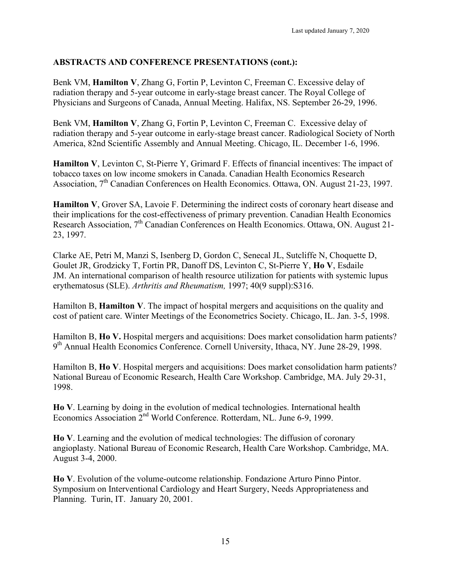Benk VM, **Hamilton V**, Zhang G, Fortin P, Levinton C, Freeman C. Excessive delay of radiation therapy and 5-year outcome in early-stage breast cancer. The Royal College of Physicians and Surgeons of Canada, Annual Meeting. Halifax, NS. September 26-29, 1996.

Benk VM, **Hamilton V**, Zhang G, Fortin P, Levinton C, Freeman C. Excessive delay of radiation therapy and 5-year outcome in early-stage breast cancer. Radiological Society of North America, 82nd Scientific Assembly and Annual Meeting. Chicago, IL. December 1-6, 1996.

**Hamilton V**, Levinton C, St-Pierre Y, Grimard F. Effects of financial incentives: The impact of tobacco taxes on low income smokers in Canada. Canadian Health Economics Research Association,  $7<sup>th</sup>$  Canadian Conferences on Health Economics. Ottawa, ON. August 21-23, 1997.

**Hamilton V**, Grover SA, Lavoie F. Determining the indirect costs of coronary heart disease and their implications for the cost-effectiveness of primary prevention. Canadian Health Economics Research Association,  $7<sup>th</sup>$  Canadian Conferences on Health Economics. Ottawa, ON. August 21-23, 1997.

Clarke AE, Petri M, Manzi S, Isenberg D, Gordon C, Senecal JL, Sutcliffe N, Choquette D, Goulet JR, Grodzicky T, Fortin PR, Danoff DS, Levinton C, St-Pierre Y, **Ho V**, Esdaile JM. An international comparison of health resource utilization for patients with systemic lupus erythematosus (SLE). *Arthritis and Rheumatism,* 1997; 40(9 suppl):S316.

Hamilton B, **Hamilton V**. The impact of hospital mergers and acquisitions on the quality and cost of patient care. Winter Meetings of the Econometrics Society. Chicago, IL. Jan. 3-5, 1998.

Hamilton B, **Ho V.** Hospital mergers and acquisitions: Does market consolidation harm patients? 9<sup>th</sup> Annual Health Economics Conference. Cornell University, Ithaca, NY. June 28-29, 1998.

Hamilton B, **Ho V**. Hospital mergers and acquisitions: Does market consolidation harm patients? National Bureau of Economic Research, Health Care Workshop. Cambridge, MA. July 29-31, 1998.

**Ho V**. Learning by doing in the evolution of medical technologies. International health Economics Association 2<sup>nd</sup> World Conference. Rotterdam, NL. June 6-9, 1999.

**Ho V**. Learning and the evolution of medical technologies: The diffusion of coronary angioplasty. National Bureau of Economic Research, Health Care Workshop. Cambridge, MA. August 3-4, 2000.

**Ho V**. Evolution of the volume-outcome relationship. Fondazione Arturo Pinno Pintor. Symposium on Interventional Cardiology and Heart Surgery, Needs Appropriateness and Planning. Turin, IT. January 20, 2001.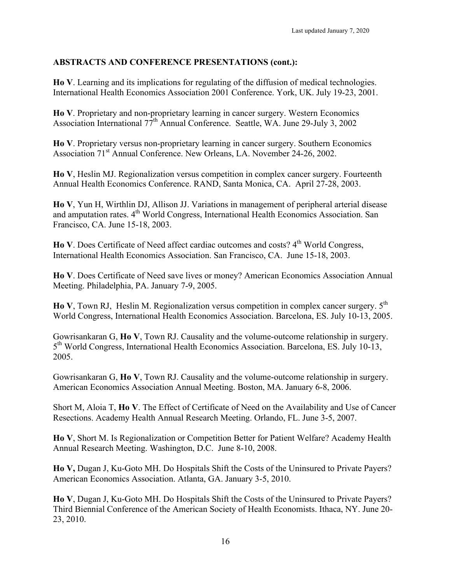**Ho V**. Learning and its implications for regulating of the diffusion of medical technologies. International Health Economics Association 2001 Conference. York, UK. July 19-23, 2001.

**Ho V**. Proprietary and non-proprietary learning in cancer surgery. Western Economics Association International 77th Annual Conference. Seattle, WA. June 29-July 3, 2002

**Ho V**. Proprietary versus non-proprietary learning in cancer surgery. Southern Economics Association 71<sup>st</sup> Annual Conference. New Orleans, LA. November 24-26, 2002.

**Ho V**, Heslin MJ. Regionalization versus competition in complex cancer surgery. Fourteenth Annual Health Economics Conference. RAND, Santa Monica, CA. April 27-28, 2003.

**Ho V**, Yun H, Wirthlin DJ, Allison JJ. Variations in management of peripheral arterial disease and amputation rates. 4<sup>th</sup> World Congress, International Health Economics Association. San Francisco, CA. June 15-18, 2003.

**Ho V**. Does Certificate of Need affect cardiac outcomes and costs? 4<sup>th</sup> World Congress, International Health Economics Association. San Francisco, CA. June 15-18, 2003.

**Ho V**. Does Certificate of Need save lives or money? American Economics Association Annual Meeting. Philadelphia, PA. January 7-9, 2005.

**Ho V**, Town RJ, Heslin M. Regionalization versus competition in complex cancer surgery. 5<sup>th</sup> World Congress, International Health Economics Association. Barcelona, ES. July 10-13, 2005.

Gowrisankaran G, **Ho V**, Town RJ. Causality and the volume-outcome relationship in surgery. 5th World Congress, International Health Economics Association. Barcelona, ES. July 10-13, 2005.

Gowrisankaran G, **Ho V**, Town RJ. Causality and the volume-outcome relationship in surgery. American Economics Association Annual Meeting. Boston, MA. January 6-8, 2006.

Short M, Aloia T, **Ho V**. The Effect of Certificate of Need on the Availability and Use of Cancer Resections. Academy Health Annual Research Meeting. Orlando, FL. June 3-5, 2007.

**Ho V**, Short M. Is Regionalization or Competition Better for Patient Welfare? Academy Health Annual Research Meeting. Washington, D.C. June 8-10, 2008.

**Ho V,** Dugan J, Ku-Goto MH. Do Hospitals Shift the Costs of the Uninsured to Private Payers? American Economics Association. Atlanta, GA. January 3-5, 2010.

**Ho V**, Dugan J, Ku-Goto MH. Do Hospitals Shift the Costs of the Uninsured to Private Payers? Third Biennial Conference of the American Society of Health Economists. Ithaca, NY. June 20- 23, 2010.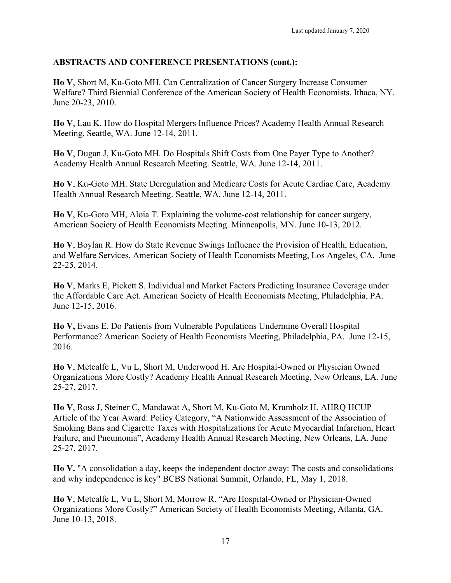**Ho V**, Short M, Ku-Goto MH. Can Centralization of Cancer Surgery Increase Consumer Welfare? Third Biennial Conference of the American Society of Health Economists. Ithaca, NY. June 20-23, 2010.

**Ho V**, Lau K. How do Hospital Mergers Influence Prices? Academy Health Annual Research Meeting. Seattle, WA. June 12-14, 2011.

**Ho V**, Dugan J, Ku-Goto MH. Do Hospitals Shift Costs from One Payer Type to Another? Academy Health Annual Research Meeting. Seattle, WA. June 12-14, 2011.

**Ho V**, Ku-Goto MH. State Deregulation and Medicare Costs for Acute Cardiac Care, Academy Health Annual Research Meeting. Seattle, WA. June 12-14, 2011.

**Ho V**, Ku-Goto MH, Aloia T. Explaining the volume-cost relationship for cancer surgery, American Society of Health Economists Meeting. Minneapolis, MN. June 10-13, 2012.

**Ho V**, Boylan R. How do State Revenue Swings Influence the Provision of Health, Education, and Welfare Services, American Society of Health Economists Meeting, Los Angeles, CA. June 22-25, 2014.

**Ho V**, Marks E, Pickett S. Individual and Market Factors Predicting Insurance Coverage under the Affordable Care Act. American Society of Health Economists Meeting, Philadelphia, PA. June 12-15, 2016.

**Ho V,** Evans E. Do Patients from Vulnerable Populations Undermine Overall Hospital Performance? American Society of Health Economists Meeting, Philadelphia, PA. June 12-15, 2016.

**Ho V**, Metcalfe L, Vu L, Short M, Underwood H. Are Hospital-Owned or Physician Owned Organizations More Costly? Academy Health Annual Research Meeting, New Orleans, LA. June 25-27, 2017.

**Ho V**, Ross J, Steiner C, Mandawat A, Short M, Ku-Goto M, Krumholz H. AHRQ HCUP Article of the Year Award: Policy Category, "A Nationwide Assessment of the Association of Smoking Bans and Cigarette Taxes with Hospitalizations for Acute Myocardial Infarction, Heart Failure, and Pneumonia", Academy Health Annual Research Meeting, New Orleans, LA. June 25-27, 2017.

**Ho V.** "A consolidation a day, keeps the independent doctor away: The costs and consolidations and why independence is key" BCBS National Summit, Orlando, FL, May 1, 2018.

**Ho V**, Metcalfe L, Vu L, Short M, Morrow R. "Are Hospital-Owned or Physician-Owned Organizations More Costly?" American Society of Health Economists Meeting, Atlanta, GA. June 10-13, 2018.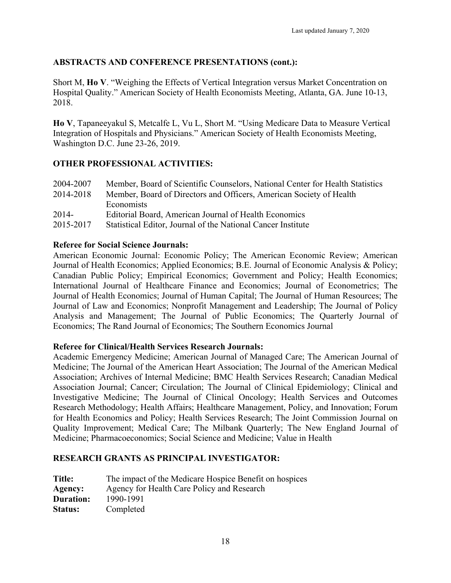Short M, **Ho V**. "Weighing the Effects of Vertical Integration versus Market Concentration on Hospital Quality." American Society of Health Economists Meeting, Atlanta, GA. June 10-13, 2018.

**Ho V**, Tapaneeyakul S, Metcalfe L, Vu L, Short M. "Using Medicare Data to Measure Vertical Integration of Hospitals and Physicians." American Society of Health Economists Meeting, Washington D.C. June 23-26, 2019.

## **OTHER PROFESSIONAL ACTIVITIES:**

| 2004-2007 | Member, Board of Scientific Counselors, National Center for Health Statistics |
|-----------|-------------------------------------------------------------------------------|
| 2014-2018 | Member, Board of Directors and Officers, American Society of Health           |
|           | <b>Economists</b>                                                             |
| $2014-$   | Editorial Board, American Journal of Health Economics                         |
| 2015-2017 | Statistical Editor, Journal of the National Cancer Institute                  |

### **Referee for Social Science Journals:**

American Economic Journal: Economic Policy; The American Economic Review; American Journal of Health Economics; Applied Economics; B.E. Journal of Economic Analysis & Policy; Canadian Public Policy; Empirical Economics; Government and Policy; Health Economics; International Journal of Healthcare Finance and Economics; Journal of Econometrics; The Journal of Health Economics; Journal of Human Capital; The Journal of Human Resources; The Journal of Law and Economics; Nonprofit Management and Leadership; The Journal of Policy Analysis and Management; The Journal of Public Economics; The Quarterly Journal of Economics; The Rand Journal of Economics; The Southern Economics Journal

#### **Referee for Clinical/Health Services Research Journals:**

Academic Emergency Medicine; American Journal of Managed Care; The American Journal of Medicine; The Journal of the American Heart Association; The Journal of the American Medical Association; Archives of Internal Medicine; BMC Health Services Research; Canadian Medical Association Journal; Cancer; Circulation; The Journal of Clinical Epidemiology; Clinical and Investigative Medicine; The Journal of Clinical Oncology; Health Services and Outcomes Research Methodology; Health Affairs; Healthcare Management, Policy, and Innovation; Forum for Health Economics and Policy; Health Services Research; The Joint Commission Journal on Quality Improvement; Medical Care; The Milbank Quarterly; The New England Journal of Medicine; Pharmacoeconomics; Social Science and Medicine; Value in Health

## **RESEARCH GRANTS AS PRINCIPAL INVESTIGATOR:**

| <b>Title:</b>    | The impact of the Medicare Hospice Benefit on hospices |
|------------------|--------------------------------------------------------|
| Agency:          | Agency for Health Care Policy and Research             |
| <b>Duration:</b> | 1990-1991                                              |
| <b>Status:</b>   | Completed                                              |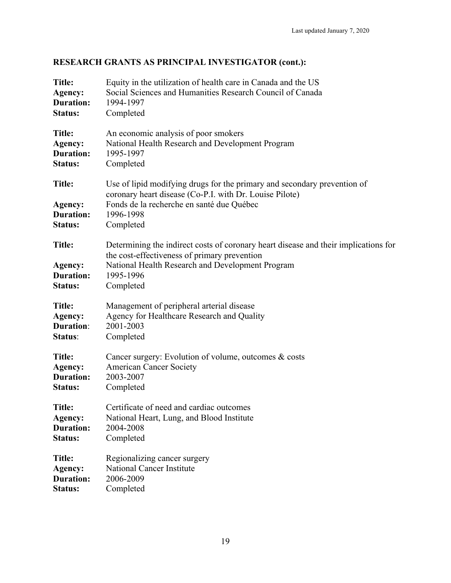# **RESEARCH GRANTS AS PRINCIPAL INVESTIGATOR (cont.):**

| <b>Title:</b>                                           | Equity in the utilization of health care in Canada and the US                                                                                                                                                     |
|---------------------------------------------------------|-------------------------------------------------------------------------------------------------------------------------------------------------------------------------------------------------------------------|
| Agency:                                                 | Social Sciences and Humanities Research Council of Canada                                                                                                                                                         |
| <b>Duration:</b>                                        | 1994-1997                                                                                                                                                                                                         |
| Status:                                                 | Completed                                                                                                                                                                                                         |
| <b>Title:</b>                                           | An economic analysis of poor smokers                                                                                                                                                                              |
| Agency:                                                 | National Health Research and Development Program                                                                                                                                                                  |
| <b>Duration:</b>                                        | 1995-1997                                                                                                                                                                                                         |
| Status:                                                 | Completed                                                                                                                                                                                                         |
| <b>Title:</b><br>Agency:<br><b>Duration:</b><br>Status: | Use of lipid modifying drugs for the primary and secondary prevention of<br>coronary heart disease (Co-P.I. with Dr. Louise Pilote)<br>Fonds de la recherche en santé due Québec<br>1996-1998<br>Completed        |
| <b>Title:</b><br>Agency:<br><b>Duration:</b><br>Status: | Determining the indirect costs of coronary heart disease and their implications for<br>the cost-effectiveness of primary prevention<br>National Health Research and Development Program<br>1995-1996<br>Completed |
| <b>Title:</b>                                           | Management of peripheral arterial disease                                                                                                                                                                         |
| Agency:                                                 | Agency for Healthcare Research and Quality                                                                                                                                                                        |
| <b>Duration:</b>                                        | 2001-2003                                                                                                                                                                                                         |
| Status:                                                 | Completed                                                                                                                                                                                                         |
| <b>Title:</b>                                           | Cancer surgery: Evolution of volume, outcomes & costs                                                                                                                                                             |
| Agency:                                                 | <b>American Cancer Society</b>                                                                                                                                                                                    |
| <b>Duration:</b>                                        | 2003-2007                                                                                                                                                                                                         |
| Status:                                                 | Completed                                                                                                                                                                                                         |
| <b>Title:</b>                                           | Certificate of need and cardiac outcomes                                                                                                                                                                          |
| Agency:                                                 | National Heart, Lung, and Blood Institute                                                                                                                                                                         |
| <b>Duration:</b>                                        | 2004-2008                                                                                                                                                                                                         |
| <b>Status:</b>                                          | Completed                                                                                                                                                                                                         |
| <b>Title:</b>                                           | Regionalizing cancer surgery                                                                                                                                                                                      |
| Agency:                                                 | <b>National Cancer Institute</b>                                                                                                                                                                                  |
| <b>Duration:</b>                                        | 2006-2009                                                                                                                                                                                                         |
| Status:                                                 | Completed                                                                                                                                                                                                         |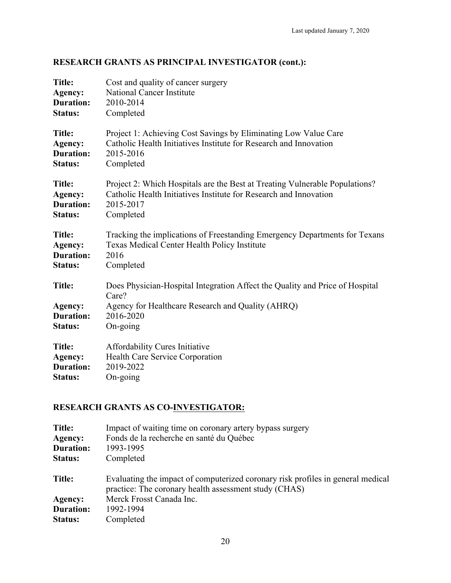## **RESEARCH GRANTS AS PRINCIPAL INVESTIGATOR (cont.):**

| <b>Title:</b>                                           | Cost and quality of cancer surgery                                                                                                                                  |
|---------------------------------------------------------|---------------------------------------------------------------------------------------------------------------------------------------------------------------------|
| Agency:                                                 | <b>National Cancer Institute</b>                                                                                                                                    |
| <b>Duration:</b>                                        | 2010-2014                                                                                                                                                           |
| Status:                                                 | Completed                                                                                                                                                           |
| <b>Title:</b>                                           | Project 1: Achieving Cost Savings by Eliminating Low Value Care                                                                                                     |
| Agency:                                                 | Catholic Health Initiatives Institute for Research and Innovation                                                                                                   |
| <b>Duration:</b>                                        | 2015-2016                                                                                                                                                           |
| Status:                                                 | Completed                                                                                                                                                           |
| <b>Title:</b>                                           | Project 2: Which Hospitals are the Best at Treating Vulnerable Populations?                                                                                         |
| Agency:                                                 | Catholic Health Initiatives Institute for Research and Innovation                                                                                                   |
| <b>Duration:</b>                                        | 2015-2017                                                                                                                                                           |
| <b>Status:</b>                                          | Completed                                                                                                                                                           |
| <b>Title:</b>                                           | Tracking the implications of Freestanding Emergency Departments for Texans                                                                                          |
| Agency:                                                 | Texas Medical Center Health Policy Institute                                                                                                                        |
| <b>Duration:</b>                                        | 2016                                                                                                                                                                |
| Status:                                                 | Completed                                                                                                                                                           |
| <b>Title:</b><br>Agency:<br><b>Duration:</b><br>Status: | Does Physician-Hospital Integration Affect the Quality and Price of Hospital<br>Care?<br>Agency for Healthcare Research and Quality (AHRQ)<br>2016-2020<br>On-going |
| <b>Title:</b>                                           | <b>Affordability Cures Initiative</b>                                                                                                                               |
| Agency:                                                 | Health Care Service Corporation                                                                                                                                     |
| <b>Duration:</b>                                        | 2019-2022                                                                                                                                                           |
| Status:                                                 | On-going                                                                                                                                                            |

## **RESEARCH GRANTS AS CO-INVESTIGATOR:**

| Title:           | Impact of waiting time on coronary artery bypass surgery                                                                                 |
|------------------|------------------------------------------------------------------------------------------------------------------------------------------|
| Agency:          | Fonds de la recherche en santé du Québec                                                                                                 |
| <b>Duration:</b> | 1993-1995                                                                                                                                |
| <b>Status:</b>   | Completed                                                                                                                                |
| Title:           | Evaluating the impact of computerized coronary risk profiles in general medical<br>practice: The coronary health assessment study (CHAS) |
| Agency:          | Merck Frosst Canada Inc.                                                                                                                 |
| <b>Duration:</b> | 1992-1994                                                                                                                                |
|                  |                                                                                                                                          |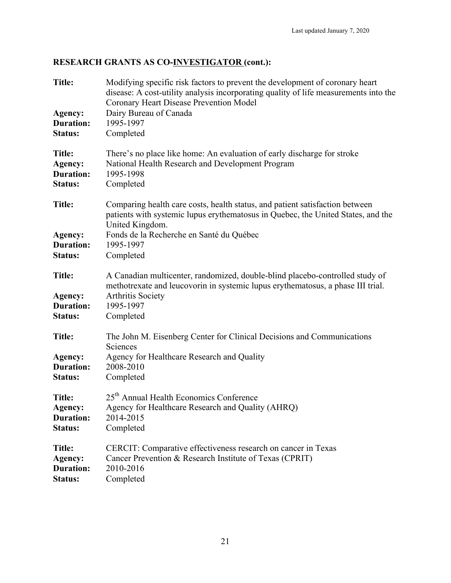# **RESEARCH GRANTS AS CO-INVESTIGATOR (cont.):**

| <b>Title:</b><br>Agency:<br><b>Duration:</b><br><b>Status:</b> | Modifying specific risk factors to prevent the development of coronary heart<br>disease: A cost-utility analysis incorporating quality of life measurements into the<br>Coronary Heart Disease Prevention Model<br>Dairy Bureau of Canada<br>1995-1997<br>Completed |
|----------------------------------------------------------------|---------------------------------------------------------------------------------------------------------------------------------------------------------------------------------------------------------------------------------------------------------------------|
| <b>Title:</b><br>Agency:<br><b>Duration:</b><br>Status:        | There's no place like home: An evaluation of early discharge for stroke<br>National Health Research and Development Program<br>1995-1998<br>Completed                                                                                                               |
| <b>Title:</b><br>Agency:<br><b>Duration:</b><br>Status:        | Comparing health care costs, health status, and patient satisfaction between<br>patients with systemic lupus erythematosus in Quebec, the United States, and the<br>United Kingdom.<br>Fonds de la Recherche en Santé du Québec<br>1995-1997<br>Completed           |
| Title:<br>Agency:<br><b>Duration:</b><br>Status:               | A Canadian multicenter, randomized, double-blind placebo-controlled study of<br>methotrexate and leucovorin in systemic lupus erythematosus, a phase III trial.<br><b>Arthritis Society</b><br>1995-1997<br>Completed                                               |
| <b>Title:</b><br>Agency:<br><b>Duration:</b><br>Status:        | The John M. Eisenberg Center for Clinical Decisions and Communications<br>Sciences<br>Agency for Healthcare Research and Quality<br>2008-2010<br>Completed                                                                                                          |
| <b>Title:</b><br>Agency:<br><b>Duration:</b><br>Status:        | 25 <sup>th</sup> Annual Health Economics Conference<br>Agency for Healthcare Research and Quality (AHRQ)<br>2014-2015<br>Completed                                                                                                                                  |
| <b>Title:</b><br>Agency:<br><b>Duration:</b><br><b>Status:</b> | CERCIT: Comparative effectiveness research on cancer in Texas<br>Cancer Prevention & Research Institute of Texas (CPRIT)<br>2010-2016<br>Completed                                                                                                                  |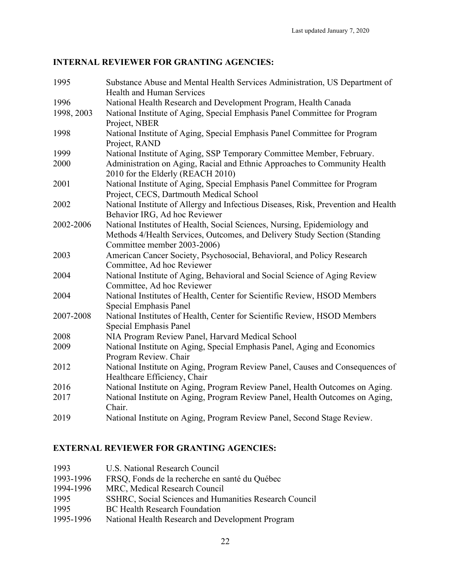## **INTERNAL REVIEWER FOR GRANTING AGENCIES:**

| 1995       | Substance Abuse and Mental Health Services Administration, US Department of        |
|------------|------------------------------------------------------------------------------------|
|            | <b>Health and Human Services</b>                                                   |
| 1996       | National Health Research and Development Program, Health Canada                    |
| 1998, 2003 | National Institute of Aging, Special Emphasis Panel Committee for Program          |
|            | Project, NBER                                                                      |
| 1998       | National Institute of Aging, Special Emphasis Panel Committee for Program          |
|            | Project, RAND                                                                      |
| 1999       | National Institute of Aging, SSP Temporary Committee Member, February.             |
| 2000       | Administration on Aging, Racial and Ethnic Approaches to Community Health          |
|            | 2010 for the Elderly (REACH 2010)                                                  |
| 2001       | National Institute of Aging, Special Emphasis Panel Committee for Program          |
|            | Project, CECS, Dartmouth Medical School                                            |
| 2002       | National Institute of Allergy and Infectious Diseases, Risk, Prevention and Health |
|            | Behavior IRG, Ad hoc Reviewer                                                      |
| 2002-2006  | National Institutes of Health, Social Sciences, Nursing, Epidemiology and          |
|            | Methods 4/Health Services, Outcomes, and Delivery Study Section (Standing          |
|            | Committee member 2003-2006)                                                        |
| 2003       | American Cancer Society, Psychosocial, Behavioral, and Policy Research             |
|            | Committee, Ad hoc Reviewer                                                         |
| 2004       | National Institute of Aging, Behavioral and Social Science of Aging Review         |
|            | Committee, Ad hoc Reviewer                                                         |
| 2004       | National Institutes of Health, Center for Scientific Review, HSOD Members          |
|            | Special Emphasis Panel                                                             |
| 2007-2008  | National Institutes of Health, Center for Scientific Review, HSOD Members          |
|            | Special Emphasis Panel                                                             |
| 2008       | NIA Program Review Panel, Harvard Medical School                                   |
| 2009       | National Institute on Aging, Special Emphasis Panel, Aging and Economics           |
|            | Program Review. Chair                                                              |
| 2012       | National Institute on Aging, Program Review Panel, Causes and Consequences of      |
|            | Healthcare Efficiency, Chair                                                       |
| 2016       | National Institute on Aging, Program Review Panel, Health Outcomes on Aging.       |
| 2017       | National Institute on Aging, Program Review Panel, Health Outcomes on Aging,       |
|            | Chair.                                                                             |
| 2019       | National Institute on Aging, Program Review Panel, Second Stage Review.            |

## **EXTERNAL REVIEWER FOR GRANTING AGENCIES:**

| 1993      | U.S. National Research Council                         |
|-----------|--------------------------------------------------------|
| 1993-1996 | FRSQ, Fonds de la recherche en santé du Québec         |
| 1994-1996 | MRC, Medical Research Council                          |
| 1995      | SSHRC, Social Sciences and Humanities Research Council |
| 1995      | <b>BC</b> Health Research Foundation                   |
| 1995-1996 | National Health Research and Development Program       |
|           |                                                        |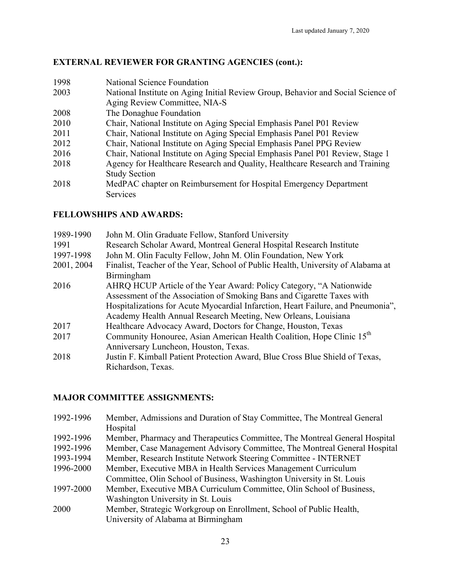## **EXTERNAL REVIEWER FOR GRANTING AGENCIES (cont.):**

| 1998 | National Science Foundation                                                      |
|------|----------------------------------------------------------------------------------|
| 2003 | National Institute on Aging Initial Review Group, Behavior and Social Science of |
|      | Aging Review Committee, NIA-S                                                    |
| 2008 | The Donaghue Foundation                                                          |
| 2010 | Chair, National Institute on Aging Special Emphasis Panel P01 Review             |
| 2011 | Chair, National Institute on Aging Special Emphasis Panel P01 Review             |
| 2012 | Chair, National Institute on Aging Special Emphasis Panel PPG Review             |
| 2016 | Chair, National Institute on Aging Special Emphasis Panel P01 Review, Stage 1    |
| 2018 | Agency for Healthcare Research and Quality, Healthcare Research and Training     |
|      | <b>Study Section</b>                                                             |
| 2018 | MedPAC chapter on Reimbursement for Hospital Emergency Department                |
|      | <b>Services</b>                                                                  |

### **FELLOWSHIPS AND AWARDS:**

| John M. Olin Graduate Fellow, Stanford University                                 |
|-----------------------------------------------------------------------------------|
| Research Scholar Award, Montreal General Hospital Research Institute              |
| John M. Olin Faculty Fellow, John M. Olin Foundation, New York                    |
| Finalist, Teacher of the Year, School of Public Health, University of Alabama at  |
| <b>Birmingham</b>                                                                 |
| AHRQ HCUP Article of the Year Award: Policy Category, "A Nationwide               |
| Assessment of the Association of Smoking Bans and Cigarette Taxes with            |
| Hospitalizations for Acute Myocardial Infarction, Heart Failure, and Pneumonia",  |
| Academy Health Annual Research Meeting, New Orleans, Louisiana                    |
| Healthcare Advocacy Award, Doctors for Change, Houston, Texas                     |
| Community Honouree, Asian American Health Coalition, Hope Clinic 15 <sup>th</sup> |
| Anniversary Luncheon, Houston, Texas.                                             |
| Justin F. Kimball Patient Protection Award, Blue Cross Blue Shield of Texas,      |
| Richardson, Texas.                                                                |
|                                                                                   |

## **MAJOR COMMITTEE ASSIGNMENTS:**

| 1992-1996 | Member, Admissions and Duration of Stay Committee, The Montreal General<br>Hospital                        |
|-----------|------------------------------------------------------------------------------------------------------------|
| 1992-1996 | Member, Pharmacy and Therapeutics Committee, The Montreal General Hospital                                 |
| 1992-1996 | Member, Case Management Advisory Committee, The Montreal General Hospital                                  |
| 1993-1994 | Member, Research Institute Network Steering Committee - INTERNET                                           |
| 1996-2000 | Member, Executive MBA in Health Services Management Curriculum                                             |
|           | Committee, Olin School of Business, Washington University in St. Louis                                     |
| 1997-2000 | Member, Executive MBA Curriculum Committee, Olin School of Business,                                       |
|           | Washington University in St. Louis                                                                         |
| 2000      | Member, Strategic Workgroup on Enrollment, School of Public Health,<br>University of Alabama at Birmingham |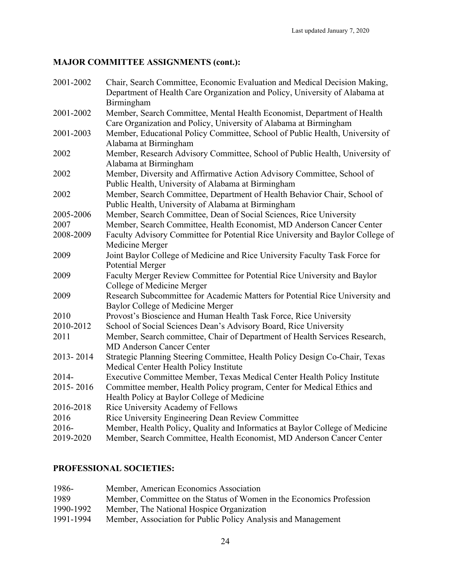## **MAJOR COMMITTEE ASSIGNMENTS (cont.):**

| 2001-2002 | Chair, Search Committee, Economic Evaluation and Medical Decision Making,                                                         |
|-----------|-----------------------------------------------------------------------------------------------------------------------------------|
|           | Department of Health Care Organization and Policy, University of Alabama at                                                       |
|           | Birmingham                                                                                                                        |
| 2001-2002 | Member, Search Committee, Mental Health Economist, Department of Health                                                           |
|           | Care Organization and Policy, University of Alabama at Birmingham                                                                 |
| 2001-2003 | Member, Educational Policy Committee, School of Public Health, University of                                                      |
| 2002      | Alabama at Birmingham<br>Member, Research Advisory Committee, School of Public Health, University of                              |
|           | Alabama at Birmingham                                                                                                             |
| 2002      | Member, Diversity and Affirmative Action Advisory Committee, School of                                                            |
|           | Public Health, University of Alabama at Birmingham                                                                                |
| 2002      | Member, Search Committee, Department of Health Behavior Chair, School of                                                          |
|           | Public Health, University of Alabama at Birmingham                                                                                |
| 2005-2006 | Member, Search Committee, Dean of Social Sciences, Rice University                                                                |
| 2007      | Member, Search Committee, Health Economist, MD Anderson Cancer Center                                                             |
| 2008-2009 | Faculty Advisory Committee for Potential Rice University and Baylor College of                                                    |
|           | Medicine Merger                                                                                                                   |
| 2009      | Joint Baylor College of Medicine and Rice University Faculty Task Force for                                                       |
|           | <b>Potential Merger</b>                                                                                                           |
| 2009      | Faculty Merger Review Committee for Potential Rice University and Baylor                                                          |
|           | College of Medicine Merger                                                                                                        |
| 2009      | Research Subcommittee for Academic Matters for Potential Rice University and                                                      |
|           | Baylor College of Medicine Merger                                                                                                 |
| 2010      | Provost's Bioscience and Human Health Task Force, Rice University                                                                 |
| 2010-2012 | School of Social Sciences Dean's Advisory Board, Rice University                                                                  |
| 2011      | Member, Search committee, Chair of Department of Health Services Research,                                                        |
|           | <b>MD Anderson Cancer Center</b>                                                                                                  |
| 2013-2014 | Strategic Planning Steering Committee, Health Policy Design Co-Chair, Texas                                                       |
|           | Medical Center Health Policy Institute                                                                                            |
| 2014-     | Executive Committee Member, Texas Medical Center Health Policy Institute                                                          |
| 2015-2016 | Committee member, Health Policy program, Center for Medical Ethics and                                                            |
| 2016-2018 | Health Policy at Baylor College of Medicine<br>Rice University Academy of Fellows                                                 |
| 2016      |                                                                                                                                   |
| $2016 -$  | Rice University Engineering Dean Review Committee<br>Member, Health Policy, Quality and Informatics at Baylor College of Medicine |
| 2019-2020 | Member, Search Committee, Health Economist, MD Anderson Cancer Center                                                             |
|           |                                                                                                                                   |

## **PROFESSIONAL SOCIETIES:**

| 1986-     | Member, American Economics Association                               |
|-----------|----------------------------------------------------------------------|
| 1989      | Member, Committee on the Status of Women in the Economics Profession |
| 1990-1992 | Member, The National Hospice Organization                            |
| 1991-1994 | Member, Association for Public Policy Analysis and Management        |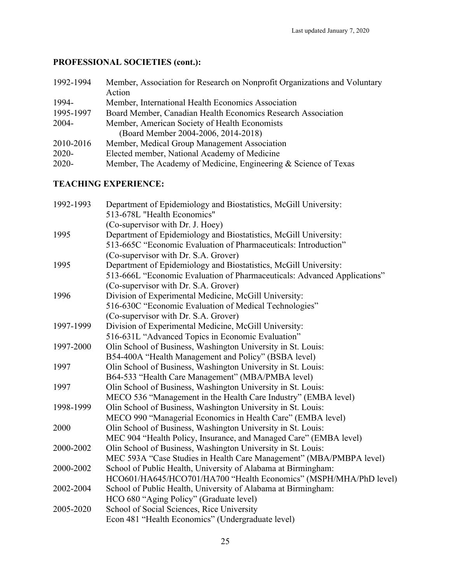# **PROFESSIONAL SOCIETIES (cont.):**

| 1992-1994 | Member, Association for Research on Nonprofit Organizations and Voluntary<br>Action  |
|-----------|--------------------------------------------------------------------------------------|
| 1994-     | Member, International Health Economics Association                                   |
| 1995-1997 | Board Member, Canadian Health Economics Research Association                         |
| $2004 -$  | Member, American Society of Health Economists<br>(Board Member 2004-2006, 2014-2018) |
| 2010-2016 | Member, Medical Group Management Association                                         |
| $2020 -$  | Elected member, National Academy of Medicine                                         |
| $2020 -$  | Member, The Academy of Medicine, Engineering & Science of Texas                      |

## **TEACHING EXPERIENCE:**

| Department of Epidemiology and Biostatistics, McGill University:         |
|--------------------------------------------------------------------------|
| 513-678L "Health Economics"                                              |
| (Co-supervisor with Dr. J. Hoey)                                         |
| Department of Epidemiology and Biostatistics, McGill University:         |
| 513-665C "Economic Evaluation of Pharmaceuticals: Introduction"          |
| (Co-supervisor with Dr. S.A. Grover)                                     |
| Department of Epidemiology and Biostatistics, McGill University:         |
| 513-666L "Economic Evaluation of Pharmaceuticals: Advanced Applications" |
| (Co-supervisor with Dr. S.A. Grover)                                     |
| Division of Experimental Medicine, McGill University:                    |
| 516-630C "Economic Evaluation of Medical Technologies"                   |
| (Co-supervisor with Dr. S.A. Grover)                                     |
| Division of Experimental Medicine, McGill University:                    |
| 516-631L "Advanced Topics in Economic Evaluation"                        |
| Olin School of Business, Washington University in St. Louis:             |
| B54-400A "Health Management and Policy" (BSBA level)                     |
| Olin School of Business, Washington University in St. Louis:             |
| B64-533 "Health Care Management" (MBA/PMBA level)                        |
| Olin School of Business, Washington University in St. Louis:             |
| MECO 536 "Management in the Health Care Industry" (EMBA level)           |
| Olin School of Business, Washington University in St. Louis:             |
| MECO 990 "Managerial Economics in Health Care" (EMBA level)              |
| Olin School of Business, Washington University in St. Louis:             |
| MEC 904 "Health Policy, Insurance, and Managed Care" (EMBA level)        |
| Olin School of Business, Washington University in St. Louis:             |
| MEC 593A "Case Studies in Health Care Management" (MBA/PMBPA level)      |
| School of Public Health, University of Alabama at Birmingham:            |
| HCO601/HA645/HCO701/HA700 "Health Economics" (MSPH/MHA/PhD level)        |
| School of Public Health, University of Alabama at Birmingham:            |
| HCO 680 "Aging Policy" (Graduate level)                                  |
| School of Social Sciences, Rice University                               |
| Econ 481 "Health Economics" (Undergraduate level)                        |
|                                                                          |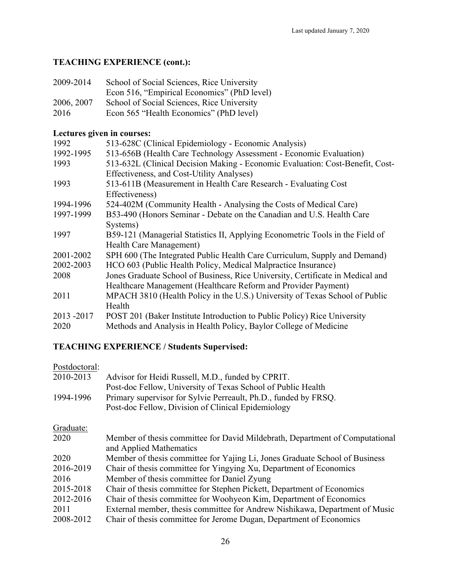## **TEACHING EXPERIENCE (cont.):**

| School of Social Sciences, Rice University  |
|---------------------------------------------|
| Econ 516, "Empirical Economics" (PhD level) |
| School of Social Sciences, Rice University  |
| Econ 565 "Health Economics" (PhD level)     |
|                                             |

## **Lectures given in courses:**

| 1992      | 513-628C (Clinical Epidemiology - Economic Analysis)                           |
|-----------|--------------------------------------------------------------------------------|
| 1992-1995 | 513-656B (Health Care Technology Assessment - Economic Evaluation)             |
| 1993      | 513-632L (Clinical Decision Making - Economic Evaluation: Cost-Benefit, Cost-  |
|           | Effectiveness, and Cost-Utility Analyses)                                      |
| 1993      | 513-611B (Measurement in Health Care Research - Evaluating Cost                |
|           | Effectiveness)                                                                 |
| 1994-1996 | 524-402M (Community Health - Analysing the Costs of Medical Care)              |
| 1997-1999 | B53-490 (Honors Seminar - Debate on the Canadian and U.S. Health Care          |
|           | Systems)                                                                       |
| 1997      | B59-121 (Managerial Statistics II, Applying Econometric Tools in the Field of  |
|           | <b>Health Care Management</b> )                                                |
| 2001-2002 | SPH 600 (The Integrated Public Health Care Curriculum, Supply and Demand)      |
| 2002-2003 | HCO 603 (Public Health Policy, Medical Malpractice Insurance)                  |
| 2008      | Jones Graduate School of Business, Rice University, Certificate in Medical and |
|           | Healthcare Management (Healthcare Reform and Provider Payment)                 |
| 2011      | MPACH 3810 (Health Policy in the U.S.) University of Texas School of Public    |
|           | Health                                                                         |
| 2013-2017 | POST 201 (Baker Institute Introduction to Public Policy) Rice University       |
| 2020      | Methods and Analysis in Health Policy, Baylor College of Medicine              |
|           |                                                                                |

## **TEACHING EXPERIENCE / Students Supervised:**

| Postdoctoral:<br>2010-2013 | Advisor for Heidi Russell, M.D., funded by CPRIT.<br>Post-doc Fellow, University of Texas School of Public Health     |
|----------------------------|-----------------------------------------------------------------------------------------------------------------------|
| 1994-1996                  | Primary supervisor for Sylvie Perreault, Ph.D., funded by FRSQ.<br>Post-doc Fellow, Division of Clinical Epidemiology |
| Graduate:                  |                                                                                                                       |
| 2020                       | Member of thesis committee for David Mildebrath, Department of Computational<br>and Applied Mathematics               |
| 2020                       | Member of thesis committee for Yajing Li, Jones Graduate School of Business                                           |
| 2016-2019                  | Chair of thesis committee for Yingying Xu, Department of Economics                                                    |
| 2016                       | Member of thesis committee for Daniel Zyung                                                                           |
| 2015-2018                  | Chair of thesis committee for Stephen Pickett, Department of Economics                                                |
| 2012-2016                  | Chair of thesis committee for Woohyeon Kim, Department of Economics                                                   |
| 2011                       | External member, thesis committee for Andrew Nishikawa, Department of Music                                           |
| 2008-2012                  | Chair of thesis committee for Jerome Dugan, Department of Economics                                                   |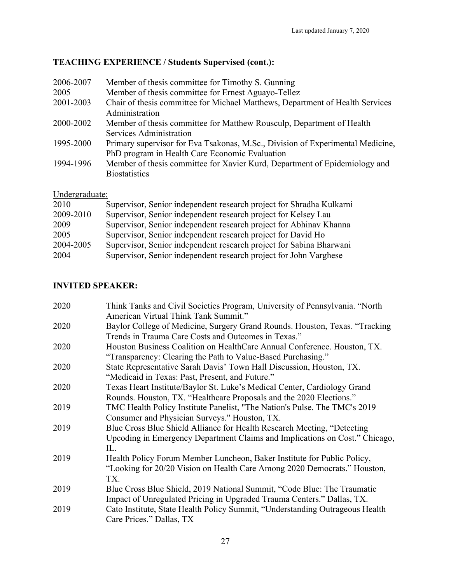# **TEACHING EXPERIENCE / Students Supervised (cont.):**

| 2006-2007 | Member of thesis committee for Timothy S. Gunning                                                                                |
|-----------|----------------------------------------------------------------------------------------------------------------------------------|
| 2005      | Member of thesis committee for Ernest Aguayo-Tellez                                                                              |
| 2001-2003 | Chair of thesis committee for Michael Matthews, Department of Health Services<br>Administration                                  |
| 2000-2002 | Member of thesis committee for Matthew Rousculp, Department of Health<br>Services Administration                                 |
| 1995-2000 | Primary supervisor for Eva Tsakonas, M.Sc., Division of Experimental Medicine,<br>PhD program in Health Care Economic Evaluation |
| 1994-1996 | Member of thesis committee for Xavier Kurd, Department of Epidemiology and<br><b>Biostatistics</b>                               |

## Undergraduate:

| 2010      | Supervisor, Senior independent research project for Shradha Kulkarni |
|-----------|----------------------------------------------------------------------|
| 2009-2010 | Supervisor, Senior independent research project for Kelsey Lau       |
| 2009      | Supervisor, Senior independent research project for Abhinav Khanna   |
| 2005      | Supervisor, Senior independent research project for David Ho         |
| 2004-2005 | Supervisor, Senior independent research project for Sabina Bharwani  |
| 2004      | Supervisor, Senior independent research project for John Varghese    |

## **INVITED SPEAKER:**

| 2020 | Think Tanks and Civil Societies Program, University of Pennsylvania. "North  |
|------|------------------------------------------------------------------------------|
|      | American Virtual Think Tank Summit."                                         |
| 2020 | Baylor College of Medicine, Surgery Grand Rounds. Houston, Texas. "Tracking  |
|      | Trends in Trauma Care Costs and Outcomes in Texas."                          |
| 2020 | Houston Business Coalition on HealthCare Annual Conference. Houston, TX.     |
|      | "Transparency: Clearing the Path to Value-Based Purchasing."                 |
| 2020 | State Representative Sarah Davis' Town Hall Discussion, Houston, TX.         |
|      | "Medicaid in Texas: Past, Present, and Future."                              |
| 2020 | Texas Heart Institute/Baylor St. Luke's Medical Center, Cardiology Grand     |
|      | Rounds. Houston, TX. "Healthcare Proposals and the 2020 Elections."          |
| 2019 | TMC Health Policy Institute Panelist, "The Nation's Pulse. The TMC's 2019    |
|      | Consumer and Physician Surveys." Houston, TX.                                |
| 2019 | Blue Cross Blue Shield Alliance for Health Research Meeting, "Detecting      |
|      | Upcoding in Emergency Department Claims and Implications on Cost." Chicago,  |
|      | IL.                                                                          |
| 2019 | Health Policy Forum Member Luncheon, Baker Institute for Public Policy,      |
|      | "Looking for 20/20 Vision on Health Care Among 2020 Democrats." Houston,     |
|      | TX.                                                                          |
| 2019 | Blue Cross Blue Shield, 2019 National Summit, "Code Blue: The Traumatic      |
|      | Impact of Unregulated Pricing in Upgraded Trauma Centers." Dallas, TX.       |
| 2019 | Cato Institute, State Health Policy Summit, "Understanding Outrageous Health |
|      | Care Prices." Dallas, TX                                                     |
|      |                                                                              |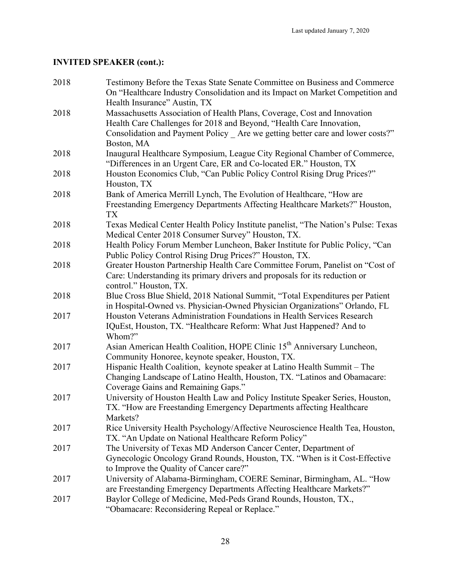| 2018 | Testimony Before the Texas State Senate Committee on Business and Commerce<br>On "Healthcare Industry Consolidation and its Impact on Market Competition and |
|------|--------------------------------------------------------------------------------------------------------------------------------------------------------------|
|      | Health Insurance" Austin, TX                                                                                                                                 |
| 2018 | Massachusetts Association of Health Plans, Coverage, Cost and Innovation                                                                                     |
|      | Health Care Challenges for 2018 and Beyond, "Health Care Innovation,                                                                                         |
|      | Consolidation and Payment Policy _ Are we getting better care and lower costs?"                                                                              |
|      | Boston, MA                                                                                                                                                   |
| 2018 | Inaugural Healthcare Symposium, League City Regional Chamber of Commerce,<br>"Differences in an Urgent Care, ER and Co-located ER." Houston, TX              |
| 2018 | Houston Economics Club, "Can Public Policy Control Rising Drug Prices?"<br>Houston, TX                                                                       |
| 2018 | Bank of America Merrill Lynch, The Evolution of Healthcare, "How are                                                                                         |
|      | Freestanding Emergency Departments Affecting Healthcare Markets?" Houston,<br>TX                                                                             |
| 2018 | Texas Medical Center Health Policy Institute panelist, "The Nation's Pulse: Texas<br>Medical Center 2018 Consumer Survey" Houston, TX.                       |
| 2018 | Health Policy Forum Member Luncheon, Baker Institute for Public Policy, "Can                                                                                 |
|      | Public Policy Control Rising Drug Prices?" Houston, TX.                                                                                                      |
| 2018 | Greater Houston Partnership Health Care Committee Forum, Panelist on "Cost of                                                                                |
|      | Care: Understanding its primary drivers and proposals for its reduction or<br>control." Houston, TX.                                                         |
| 2018 | Blue Cross Blue Shield, 2018 National Summit, "Total Expenditures per Patient                                                                                |
|      | in Hospital-Owned vs. Physician-Owned Physician Organizations" Orlando, FL                                                                                   |
| 2017 | Houston Veterans Administration Foundations in Health Services Research                                                                                      |
|      | IQuEst, Houston, TX. "Healthcare Reform: What Just Happened? And to                                                                                          |
|      | Whom?"                                                                                                                                                       |
| 2017 | Asian American Health Coalition, HOPE Clinic 15 <sup>th</sup> Anniversary Luncheon,                                                                          |
|      | Community Honoree, keynote speaker, Houston, TX.                                                                                                             |
| 2017 | Hispanic Health Coalition, keynote speaker at Latino Health Summit - The                                                                                     |
|      | Changing Landscape of Latino Health, Houston, TX. "Latinos and Obamacare:                                                                                    |
|      | Coverage Gains and Remaining Gaps."                                                                                                                          |
| 2017 | University of Houston Health Law and Policy Institute Speaker Series, Houston,                                                                               |
|      | TX. "How are Freestanding Emergency Departments affecting Healthcare                                                                                         |
|      | Markets?                                                                                                                                                     |
| 2017 | Rice University Health Psychology/Affective Neuroscience Health Tea, Houston,                                                                                |
|      | TX. "An Update on National Healthcare Reform Policy"                                                                                                         |
| 2017 | The University of Texas MD Anderson Cancer Center, Department of                                                                                             |
|      | Gynecologic Oncology Grand Rounds, Houston, TX. "When is it Cost-Effective                                                                                   |
|      | to Improve the Quality of Cancer care?"                                                                                                                      |
| 2017 | University of Alabama-Birmingham, COERE Seminar, Birmingham, AL. "How                                                                                        |
|      | are Freestanding Emergency Departments Affecting Healthcare Markets?"                                                                                        |
| 2017 | Baylor College of Medicine, Med-Peds Grand Rounds, Houston, TX.,                                                                                             |
|      | "Obamacare: Reconsidering Repeal or Replace."                                                                                                                |
|      |                                                                                                                                                              |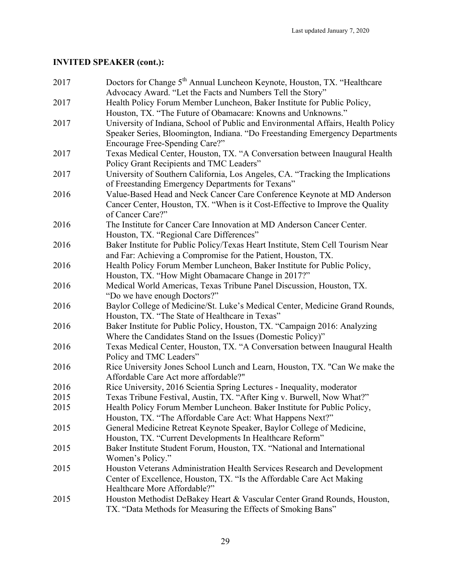| 2017 | Doctors for Change 5 <sup>th</sup> Annual Luncheon Keynote, Houston, TX. "Healthcare<br>Advocacy Award. "Let the Facts and Numbers Tell the Story" |
|------|----------------------------------------------------------------------------------------------------------------------------------------------------|
| 2017 | Health Policy Forum Member Luncheon, Baker Institute for Public Policy,                                                                            |
|      | Houston, TX. "The Future of Obamacare: Knowns and Unknowns."                                                                                       |
| 2017 | University of Indiana, School of Public and Environmental Affairs, Health Policy                                                                   |
|      | Speaker Series, Bloomington, Indiana. "Do Freestanding Emergency Departments                                                                       |
|      | Encourage Free-Spending Care?"                                                                                                                     |
| 2017 | Texas Medical Center, Houston, TX. "A Conversation between Inaugural Health                                                                        |
|      | Policy Grant Recipients and TMC Leaders"                                                                                                           |
| 2017 | University of Southern California, Los Angeles, CA. "Tracking the Implications                                                                     |
|      | of Freestanding Emergency Departments for Texans"                                                                                                  |
| 2016 | Value-Based Head and Neck Cancer Care Conference Keynote at MD Anderson                                                                            |
|      | Cancer Center, Houston, TX. "When is it Cost-Effective to Improve the Quality                                                                      |
|      | of Cancer Care?"                                                                                                                                   |
| 2016 | The Institute for Cancer Care Innovation at MD Anderson Cancer Center.                                                                             |
|      | Houston, TX. "Regional Care Differences"                                                                                                           |
| 2016 | Baker Institute for Public Policy/Texas Heart Institute, Stem Cell Tourism Near                                                                    |
|      | and Far: Achieving a Compromise for the Patient, Houston, TX.                                                                                      |
| 2016 | Health Policy Forum Member Luncheon, Baker Institute for Public Policy,                                                                            |
|      | Houston, TX. "How Might Obamacare Change in 2017?"                                                                                                 |
| 2016 | Medical World Americas, Texas Tribune Panel Discussion, Houston, TX.                                                                               |
|      | "Do we have enough Doctors?"                                                                                                                       |
| 2016 | Baylor College of Medicine/St. Luke's Medical Center, Medicine Grand Rounds,                                                                       |
|      | Houston, TX. "The State of Healthcare in Texas"                                                                                                    |
| 2016 | Baker Institute for Public Policy, Houston, TX. "Campaign 2016: Analyzing                                                                          |
|      | Where the Candidates Stand on the Issues (Domestic Policy)"                                                                                        |
| 2016 | Texas Medical Center, Houston, TX. "A Conversation between Inaugural Health                                                                        |
|      | Policy and TMC Leaders"                                                                                                                            |
| 2016 | Rice University Jones School Lunch and Learn, Houston, TX. "Can We make the                                                                        |
|      | Affordable Care Act more affordable?"                                                                                                              |
| 2016 | Rice University, 2016 Scientia Spring Lectures - Inequality, moderator                                                                             |
| 2015 | Texas Tribune Festival, Austin, TX. "After King v. Burwell, Now What?"                                                                             |
| 2015 | Health Policy Forum Member Luncheon. Baker Institute for Public Policy,                                                                            |
|      | Houston, TX. "The Affordable Care Act: What Happens Next?"                                                                                         |
| 2015 | General Medicine Retreat Keynote Speaker, Baylor College of Medicine,                                                                              |
|      | Houston, TX. "Current Developments In Healthcare Reform"                                                                                           |
| 2015 | Baker Institute Student Forum, Houston, TX. "National and International                                                                            |
|      | Women's Policy."                                                                                                                                   |
| 2015 | Houston Veterans Administration Health Services Research and Development                                                                           |
|      | Center of Excellence, Houston, TX. "Is the Affordable Care Act Making                                                                              |
|      | Healthcare More Affordable?"                                                                                                                       |
| 2015 | Houston Methodist DeBakey Heart & Vascular Center Grand Rounds, Houston,                                                                           |
|      | TX. "Data Methods for Measuring the Effects of Smoking Bans"                                                                                       |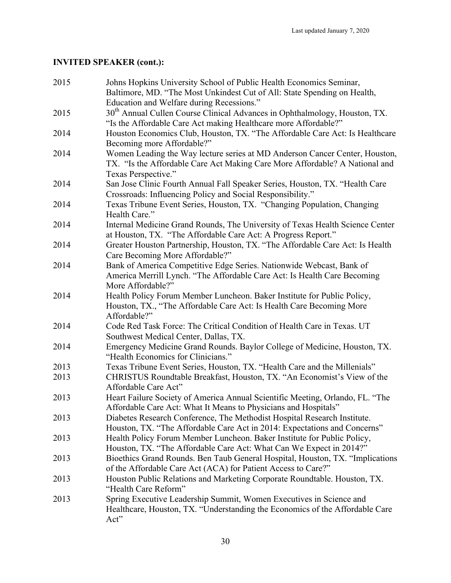| 2015 | Johns Hopkins University School of Public Health Economics Seminar,                                                                                        |
|------|------------------------------------------------------------------------------------------------------------------------------------------------------------|
|      | Baltimore, MD. "The Most Unkindest Cut of All: State Spending on Health,                                                                                   |
|      | Education and Welfare during Recessions."                                                                                                                  |
| 2015 | 30 <sup>th</sup> Annual Cullen Course Clinical Advances in Ophthalmology, Houston, TX.                                                                     |
|      | "Is the Affordable Care Act making Healthcare more Affordable?"                                                                                            |
| 2014 | Houston Economics Club, Houston, TX. "The Affordable Care Act: Is Healthcare                                                                               |
|      | Becoming more Affordable?"                                                                                                                                 |
| 2014 | Women Leading the Way lecture series at MD Anderson Cancer Center, Houston,<br>TX. "Is the Affordable Care Act Making Care More Affordable? A National and |
|      | Texas Perspective."                                                                                                                                        |
| 2014 | San Jose Clinic Fourth Annual Fall Speaker Series, Houston, TX. "Health Care<br>Crossroads: Influencing Policy and Social Responsibility."                 |
| 2014 | Texas Tribune Event Series, Houston, TX. "Changing Population, Changing<br>Health Care."                                                                   |
| 2014 | Internal Medicine Grand Rounds, The University of Texas Health Science Center                                                                              |
|      | at Houston, TX. "The Affordable Care Act: A Progress Report."                                                                                              |
| 2014 | Greater Houston Partnership, Houston, TX. "The Affordable Care Act: Is Health                                                                              |
|      | Care Becoming More Affordable?"                                                                                                                            |
| 2014 | Bank of America Competitive Edge Series. Nationwide Webcast, Bank of                                                                                       |
|      | America Merrill Lynch. "The Affordable Care Act: Is Health Care Becoming                                                                                   |
|      | More Affordable?"                                                                                                                                          |
| 2014 | Health Policy Forum Member Luncheon. Baker Institute for Public Policy,                                                                                    |
|      | Houston, TX., "The Affordable Care Act: Is Health Care Becoming More<br>Affordable?"                                                                       |
| 2014 | Code Red Task Force: The Critical Condition of Health Care in Texas. UT                                                                                    |
|      | Southwest Medical Center, Dallas, TX.                                                                                                                      |
| 2014 | Emergency Medicine Grand Rounds. Baylor College of Medicine, Houston, TX.                                                                                  |
|      | "Health Economics for Clinicians."                                                                                                                         |
| 2013 | Texas Tribune Event Series, Houston, TX. "Health Care and the Millenials"                                                                                  |
| 2013 | CHRISTUS Roundtable Breakfast, Houston, TX. "An Economist's View of the                                                                                    |
|      | Affordable Care Act"                                                                                                                                       |
| 2013 | Heart Failure Society of America Annual Scientific Meeting, Orlando, FL. "The                                                                              |
|      | Affordable Care Act: What It Means to Physicians and Hospitals"                                                                                            |
| 2013 | Diabetes Research Conference, The Methodist Hospital Research Institute.                                                                                   |
|      | Houston, TX. "The Affordable Care Act in 2014: Expectations and Concerns"                                                                                  |
| 2013 | Health Policy Forum Member Luncheon. Baker Institute for Public Policy,<br>Houston, TX. "The Affordable Care Act: What Can We Expect in 2014?"             |
| 2013 | Bioethics Grand Rounds. Ben Taub General Hospital, Houston, TX. "Implications"                                                                             |
|      | of the Affordable Care Act (ACA) for Patient Access to Care?"                                                                                              |
| 2013 | Houston Public Relations and Marketing Corporate Roundtable. Houston, TX.                                                                                  |
|      | "Health Care Reform"                                                                                                                                       |
| 2013 | Spring Executive Leadership Summit, Women Executives in Science and                                                                                        |
|      | Healthcare, Houston, TX. "Understanding the Economics of the Affordable Care                                                                               |
|      | Act"                                                                                                                                                       |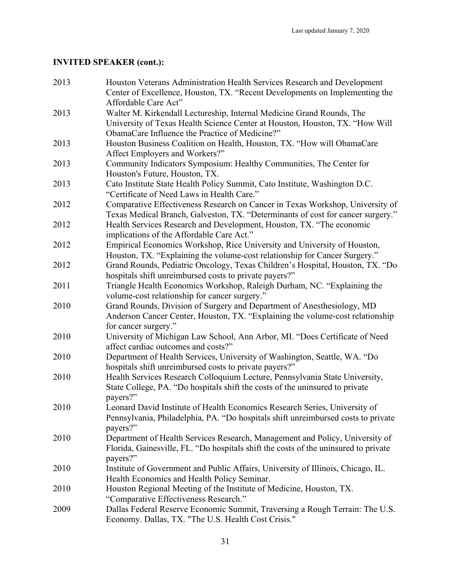| 2013 | Houston Veterans Administration Health Services Research and Development<br>Center of Excellence, Houston, TX. "Recent Developments on Implementing the<br>Affordable Care Act" |
|------|---------------------------------------------------------------------------------------------------------------------------------------------------------------------------------|
| 2013 | Walter M. Kirkendall Lectureship, Internal Medicine Grand Rounds, The<br>University of Texas Health Science Center at Houston, Houston, TX. "How Will                           |
|      | ObamaCare Influence the Practice of Medicine?"                                                                                                                                  |
| 2013 | Houston Business Coalition on Health, Houston, TX. "How will ObamaCare<br>Affect Employers and Workers?"                                                                        |
| 2013 | Community Indicators Symposium: Healthy Communities, The Center for<br>Houston's Future, Houston, TX.                                                                           |
| 2013 | Cato Institute State Health Policy Summit, Cato Institute, Washington D.C.<br>"Certificate of Need Laws in Health Care."                                                        |
| 2012 | Comparative Effectiveness Research on Cancer in Texas Workshop, University of<br>Texas Medical Branch, Galveston, TX. "Determinants of cost for cancer surgery."                |
| 2012 | Health Services Research and Development, Houston, TX. "The economic<br>implications of the Affordable Care Act."                                                               |
| 2012 | Empirical Economics Workshop, Rice University and University of Houston,<br>Houston, TX. "Explaining the volume-cost relationship for Cancer Surgery."                          |
| 2012 | Grand Rounds, Pediatric Oncology, Texas Children's Hospital, Houston, TX. "Do<br>hospitals shift unreimbursed costs to private payers?"                                         |
| 2011 | Triangle Health Economics Workshop, Raleigh Durham, NC. "Explaining the<br>volume-cost relationship for cancer surgery."                                                        |
| 2010 | Grand Rounds, Division of Surgery and Department of Anesthesiology, MD<br>Anderson Cancer Center, Houston, TX. "Explaining the volume-cost relationship<br>for cancer surgery." |
| 2010 | University of Michigan Law School, Ann Arbor, MI. "Does Certificate of Need<br>affect cardiac outcomes and costs?"                                                              |
| 2010 | Department of Health Services, University of Washington, Seattle, WA. "Do<br>hospitals shift unreimbursed costs to private payers?"                                             |
| 2010 | Health Services Research Colloquium Lecture, Pennsylvania State University,<br>State College, PA. "Do hospitals shift the costs of the uninsured to private<br>payers?"         |
| 2010 | Leonard David Institute of Health Economics Research Series, University of<br>Pennsylvania, Philadelphia, PA. "Do hospitals shift unreimbursed costs to private<br>payers?"     |
| 2010 | Department of Health Services Research, Management and Policy, University of<br>Florida, Gainesville, FL. "Do hospitals shift the costs of the uninsured to private<br>payers?" |
| 2010 | Institute of Government and Public Affairs, University of Illinois, Chicago, IL.<br>Health Economics and Health Policy Seminar.                                                 |
| 2010 | Houston Regional Meeting of the Institute of Medicine, Houston, TX.<br>"Comparative Effectiveness Research."                                                                    |
| 2009 | Dallas Federal Reserve Economic Summit, Traversing a Rough Terrain: The U.S.<br>Economy. Dallas, TX. "The U.S. Health Cost Crisis."                                             |
|      |                                                                                                                                                                                 |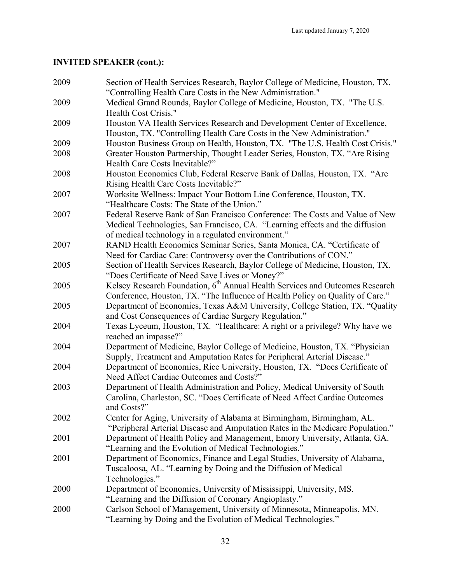| 2009 | Section of Health Services Research, Baylor College of Medicine, Houston, TX.<br>"Controlling Health Care Costs in the New Administration."                                                                        |
|------|--------------------------------------------------------------------------------------------------------------------------------------------------------------------------------------------------------------------|
| 2009 | Medical Grand Rounds, Baylor College of Medicine, Houston, TX. "The U.S.                                                                                                                                           |
|      | Health Cost Crisis."                                                                                                                                                                                               |
| 2009 | Houston VA Health Services Research and Development Center of Excellence,<br>Houston, TX. "Controlling Health Care Costs in the New Administration."                                                               |
| 2009 | Houston Business Group on Health, Houston, TX. "The U.S. Health Cost Crisis."                                                                                                                                      |
| 2008 | Greater Houston Partnership, Thought Leader Series, Houston, TX. "Are Rising<br>Health Care Costs Inevitable?"                                                                                                     |
| 2008 | Houston Economics Club, Federal Reserve Bank of Dallas, Houston, TX. "Are<br>Rising Health Care Costs Inevitable?"                                                                                                 |
| 2007 | Worksite Wellness: Impact Your Bottom Line Conference, Houston, TX.<br>"Healthcare Costs: The State of the Union."                                                                                                 |
| 2007 | Federal Reserve Bank of San Francisco Conference: The Costs and Value of New<br>Medical Technologies, San Francisco, CA. "Learning effects and the diffusion<br>of medical technology in a regulated environment." |
| 2007 | RAND Health Economics Seminar Series, Santa Monica, CA. "Certificate of<br>Need for Cardiac Care: Controversy over the Contributions of CON."                                                                      |
| 2005 | Section of Health Services Research, Baylor College of Medicine, Houston, TX.<br>"Does Certificate of Need Save Lives or Money?"                                                                                   |
| 2005 | Kelsey Research Foundation, 6 <sup>th</sup> Annual Health Services and Outcomes Research<br>Conference, Houston, TX. "The Influence of Health Policy on Quality of Care."                                          |
| 2005 | Department of Economics, Texas A&M University, College Station, TX. "Quality<br>and Cost Consequences of Cardiac Surgery Regulation."                                                                              |
| 2004 | Texas Lyceum, Houston, TX. "Healthcare: A right or a privilege? Why have we<br>reached an impasse?"                                                                                                                |
| 2004 | Department of Medicine, Baylor College of Medicine, Houston, TX. "Physician<br>Supply, Treatment and Amputation Rates for Peripheral Arterial Disease."                                                            |
| 2004 | Department of Economics, Rice University, Houston, TX. "Does Certificate of<br>Need Affect Cardiac Outcomes and Costs?"                                                                                            |
| 2003 | Department of Health Administration and Policy, Medical University of South<br>Carolina, Charleston, SC. "Does Certificate of Need Affect Cardiac Outcomes<br>and Costs?"                                          |
| 2002 | Center for Aging, University of Alabama at Birmingham, Birmingham, AL.<br>"Peripheral Arterial Disease and Amputation Rates in the Medicare Population."                                                           |
| 2001 | Department of Health Policy and Management, Emory University, Atlanta, GA.<br>"Learning and the Evolution of Medical Technologies."                                                                                |
| 2001 | Department of Economics, Finance and Legal Studies, University of Alabama,<br>Tuscaloosa, AL. "Learning by Doing and the Diffusion of Medical<br>Technologies."                                                    |
| 2000 | Department of Economics, University of Mississippi, University, MS.<br>"Learning and the Diffusion of Coronary Angioplasty."                                                                                       |
| 2000 | Carlson School of Management, University of Minnesota, Minneapolis, MN.<br>"Learning by Doing and the Evolution of Medical Technologies."                                                                          |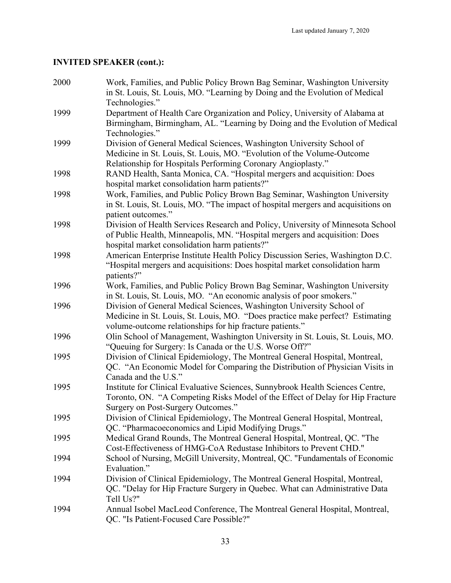| 2000 | Work, Families, and Public Policy Brown Bag Seminar, Washington University<br>in St. Louis, St. Louis, MO. "Learning by Doing and the Evolution of Medical |
|------|------------------------------------------------------------------------------------------------------------------------------------------------------------|
|      | Technologies."                                                                                                                                             |
| 1999 | Department of Health Care Organization and Policy, University of Alabama at                                                                                |
|      | Birmingham, Birmingham, AL. "Learning by Doing and the Evolution of Medical                                                                                |
|      | Technologies."                                                                                                                                             |
| 1999 | Division of General Medical Sciences, Washington University School of                                                                                      |
|      | Medicine in St. Louis, St. Louis, MO. "Evolution of the Volume-Outcome                                                                                     |
|      | Relationship for Hospitals Performing Coronary Angioplasty."                                                                                               |
| 1998 | RAND Health, Santa Monica, CA. "Hospital mergers and acquisition: Does                                                                                     |
|      | hospital market consolidation harm patients?"                                                                                                              |
| 1998 | Work, Families, and Public Policy Brown Bag Seminar, Washington University                                                                                 |
|      | in St. Louis, St. Louis, MO. "The impact of hospital mergers and acquisitions on                                                                           |
|      | patient outcomes."                                                                                                                                         |
| 1998 | Division of Health Services Research and Policy, University of Minnesota School                                                                            |
|      | of Public Health, Minneapolis, MN. "Hospital mergers and acquisition: Does                                                                                 |
|      | hospital market consolidation harm patients?"                                                                                                              |
| 1998 | American Enterprise Institute Health Policy Discussion Series, Washington D.C.                                                                             |
|      | "Hospital mergers and acquisitions: Does hospital market consolidation harm                                                                                |
|      | patients?"                                                                                                                                                 |
| 1996 | Work, Families, and Public Policy Brown Bag Seminar, Washington University                                                                                 |
|      | in St. Louis, St. Louis, MO. "An economic analysis of poor smokers."                                                                                       |
| 1996 | Division of General Medical Sciences, Washington University School of                                                                                      |
|      | Medicine in St. Louis, St. Louis, MO. "Does practice make perfect? Estimating                                                                              |
|      | volume-outcome relationships for hip fracture patients."                                                                                                   |
| 1996 | Olin School of Management, Washington University in St. Louis, St. Louis, MO.                                                                              |
|      | "Queuing for Surgery: Is Canada or the U.S. Worse Off?"                                                                                                    |
| 1995 | Division of Clinical Epidemiology, The Montreal General Hospital, Montreal,                                                                                |
|      | QC. "An Economic Model for Comparing the Distribution of Physician Visits in                                                                               |
|      | Canada and the U.S."                                                                                                                                       |
| 1995 | Institute for Clinical Evaluative Sciences, Sunnybrook Health Sciences Centre,                                                                             |
|      | Toronto, ON. "A Competing Risks Model of the Effect of Delay for Hip Fracture                                                                              |
|      | Surgery on Post-Surgery Outcomes."                                                                                                                         |
| 1995 | Division of Clinical Epidemiology, The Montreal General Hospital, Montreal,                                                                                |
|      | QC. "Pharmacoeconomics and Lipid Modifying Drugs."                                                                                                         |
| 1995 | Medical Grand Rounds, The Montreal General Hospital, Montreal, QC. "The                                                                                    |
|      | Cost-Effectiveness of HMG-CoA Redustase Inhibitors to Prevent CHD."                                                                                        |
| 1994 | School of Nursing, McGill University, Montreal, QC. "Fundamentals of Economic                                                                              |
|      | Evaluation."                                                                                                                                               |
| 1994 | Division of Clinical Epidemiology, The Montreal General Hospital, Montreal,                                                                                |
|      | QC. "Delay for Hip Fracture Surgery in Quebec. What can Administrative Data                                                                                |
|      | Tell Us?"                                                                                                                                                  |
| 1994 | Annual Isobel MacLeod Conference, The Montreal General Hospital, Montreal,                                                                                 |
|      | QC. "Is Patient-Focused Care Possible?"                                                                                                                    |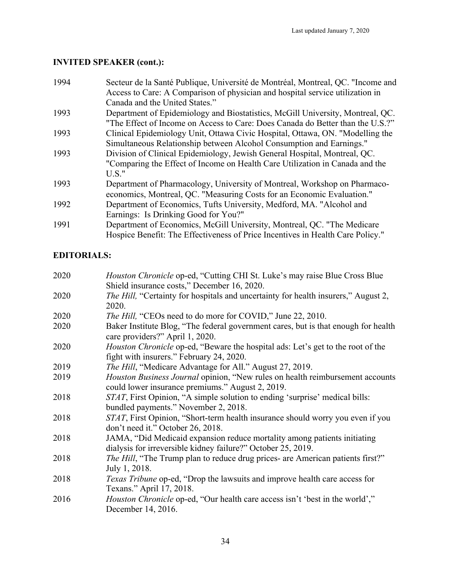| 1994 | Secteur de la Santé Publique, Université de Montréal, Montreal, QC. "Income and |
|------|---------------------------------------------------------------------------------|
|      | Access to Care: A Comparison of physician and hospital service utilization in   |
|      | Canada and the United States."                                                  |
| 1993 | Department of Epidemiology and Biostatistics, McGill University, Montreal, QC.  |
|      | "The Effect of Income on Access to Care: Does Canada do Better than the U.S.?"  |
| 1993 | Clinical Epidemiology Unit, Ottawa Civic Hospital, Ottawa, ON. "Modelling the   |
|      | Simultaneous Relationship between Alcohol Consumption and Earnings."            |
| 1993 | Division of Clinical Epidemiology, Jewish General Hospital, Montreal, QC.       |
|      | "Comparing the Effect of Income on Health Care Utilization in Canada and the    |
|      | $U.S.$ "                                                                        |
| 1993 | Department of Pharmacology, University of Montreal, Workshop on Pharmaco-       |
|      | economics, Montreal, QC. "Measuring Costs for an Economic Evaluation."          |
| 1992 | Department of Economics, Tufts University, Medford, MA. "Alcohol and            |
|      | Earnings: Is Drinking Good for You?"                                            |
| 1991 | Department of Economics, McGill University, Montreal, QC. "The Medicare         |
|      | Hospice Benefit: The Effectiveness of Price Incentives in Health Care Policy."  |
|      |                                                                                 |

## **EDITORIALS:**

| 2020 | <i>Houston Chronicle</i> op-ed, "Cutting CHI St. Luke's may raise Blue Cross Blue                                                        |
|------|------------------------------------------------------------------------------------------------------------------------------------------|
|      | Shield insurance costs," December 16, 2020.                                                                                              |
| 2020 | <i>The Hill</i> , "Certainty for hospitals and uncertainty for health insurers," August 2,                                               |
|      | 2020.                                                                                                                                    |
| 2020 | <i>The Hill</i> , "CEOs need to do more for COVID," June 22, 2010.                                                                       |
| 2020 | Baker Institute Blog, "The federal government cares, but is that enough for health<br>care providers?" April 1, 2020.                    |
| 2020 | Houston Chronicle op-ed, "Beware the hospital ads: Let's get to the root of the                                                          |
|      | fight with insurers." February 24, 2020.                                                                                                 |
| 2019 | <i>The Hill</i> , "Medicare Advantage for All." August 27, 2019.                                                                         |
| 2019 | <i>Houston Business Journal</i> opinion, "New rules on health reimbursement accounts<br>could lower insurance premiums." August 2, 2019. |
| 2018 | STAT, First Opinion, "A simple solution to ending 'surprise' medical bills:                                                              |
|      | bundled payments." November 2, 2018.                                                                                                     |
| 2018 | STAT, First Opinion, "Short-term health insurance should worry you even if you<br>don't need it." October 26, 2018.                      |
| 2018 | JAMA, "Did Medicaid expansion reduce mortality among patients initiating                                                                 |
|      | dialysis for irreversible kidney failure?" October 25, 2019.                                                                             |
| 2018 | <i>The Hill</i> , "The Trump plan to reduce drug prices- are American patients first?"                                                   |
|      | July 1, 2018.                                                                                                                            |
| 2018 | Texas Tribune op-ed, "Drop the lawsuits and improve health care access for                                                               |
|      | Texans." April 17, 2018.                                                                                                                 |
| 2016 | <i>Houston Chronicle</i> op-ed, "Our health care access isn't 'best in the world',"                                                      |
|      | December 14, 2016.                                                                                                                       |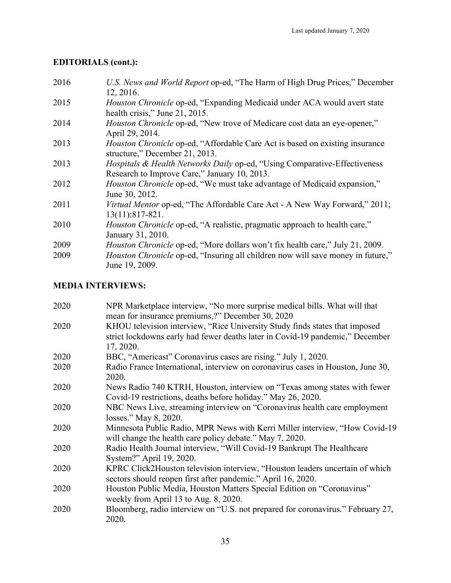## **EDITORIALS (cont.):**

2016 *U.S. News and World Report* op-ed, "The Harm of High Drug Prices," December 12, 2016. 2015 *Houston Chronicle* op-ed, "Expanding Medicaid under ACA would avert state health crisis," June 21, 2015. 2014 *Houston Chronicle* op-ed, "New trove of Medicare cost data an eye-opener," April 29, 2014. 2013 *Houston Chronicle* op-ed, "Affordable Care Act is based on existing insurance structure," December 21, 2013. 2013 *Hospitals & Health Networks Daily* op-ed, "Using Comparative-Effectiveness Research to Improve Care," January 10, 2013. 2012 *Houston Chronicle* op-ed, "We must take advantage of Medicaid expansion," June 30, 2012. 2011 *Virtual Mentor* op-ed, "The Affordable Care Act - A New Way Forward," 2011; 13(11):817-821. 2010 *Houston Chronicle* op-ed, "A realistic, pragmatic approach to health care," January 31, 2010. 2009 *Houston Chronicle* op-ed, "More dollars won't fix health care," July 21, 2009. 2009 *Houston Chronicle* op-ed, "Insuring all children now will save money in future," June 19, 2009.

### **MEDIA INTERVIEWS:**

| 2020 | NPR Marketplace interview, "No more surprise medical bills. What will that                 |
|------|--------------------------------------------------------------------------------------------|
|      | mean for insurance premiums,?" December 30, 2020                                           |
| 2020 | KHOU television interview, "Rice University Study finds states that imposed                |
|      | strict lockdowns early had fewer deaths later in Covid-19 pandemic," December<br>17, 2020. |
| 2020 | BBC, "Americast" Coronavirus cases are rising." July 1, 2020.                              |
| 2020 | Radio France International, interview on coronavirus cases in Houston, June 30,<br>2020.   |
| 2020 | News Radio 740 KTRH, Houston, interview on "Texas among states with fewer                  |
|      | Covid-19 restrictions, deaths before holiday." May 26, 2020.                               |
| 2020 | NBC News Live, streaming interview on "Coronavirus health care employment                  |
|      | losses." May 8, 2020.                                                                      |
| 2020 | Minnesota Public Radio, MPR News with Kerri Miller interview, "How Covid-19                |
|      | will change the health care policy debate." May 7, 2020.                                   |
| 2020 | Radio Health Journal interview, "Will Covid-19 Bankrupt The Healthcare                     |
|      | System?" April 19, 2020.                                                                   |
| 2020 | KPRC Click2Houston television interview, "Houston leaders uncertain of which               |
|      | sectors should reopen first after pandemic." April 16, 2020.                               |
| 2020 | Houston Public Media, Houston Matters Special Edition on "Coronavirus"                     |
|      | weekly from April 13 to Aug. 8, 2020.                                                      |
| 2020 | Bloomberg, radio interview on "U.S. not prepared for coronavirus." February 27,            |
|      | 2020.                                                                                      |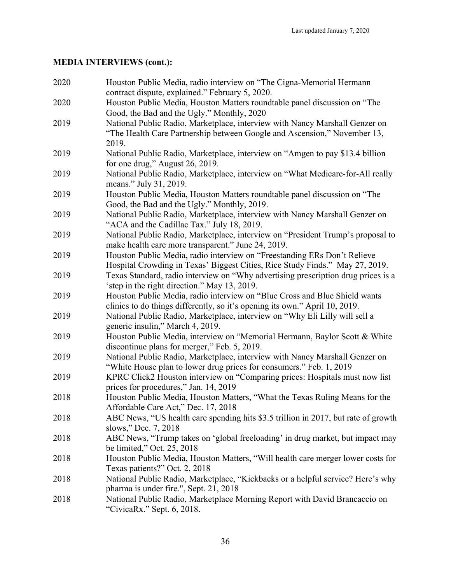| 2020 | Houston Public Media, radio interview on "The Cigna-Memorial Hermann<br>contract dispute, explained." February 5, 2020. |
|------|-------------------------------------------------------------------------------------------------------------------------|
| 2020 | Houston Public Media, Houston Matters roundtable panel discussion on "The                                               |
|      | Good, the Bad and the Ugly." Monthly, 2020                                                                              |
| 2019 | National Public Radio, Marketplace, interview with Nancy Marshall Genzer on                                             |
|      | "The Health Care Partnership between Google and Ascension," November 13,<br>2019.                                       |
| 2019 | National Public Radio, Marketplace, interview on "Amgen to pay \$13.4 billion                                           |
|      | for one drug," August 26, 2019.                                                                                         |
| 2019 | National Public Radio, Marketplace, interview on "What Medicare-for-All really<br>means." July 31, 2019.                |
| 2019 | Houston Public Media, Houston Matters roundtable panel discussion on "The                                               |
|      | Good, the Bad and the Ugly." Monthly, 2019.                                                                             |
| 2019 | National Public Radio, Marketplace, interview with Nancy Marshall Genzer on                                             |
|      | "ACA and the Cadillac Tax." July 18, 2019.                                                                              |
| 2019 | National Public Radio, Marketplace, interview on "President Trump's proposal to                                         |
|      | make health care more transparent." June 24, 2019.                                                                      |
| 2019 | Houston Public Media, radio interview on "Freestanding ERs Don't Relieve                                                |
|      | Hospital Crowding in Texas' Biggest Cities, Rice Study Finds." May 27, 2019.                                            |
| 2019 | Texas Standard, radio interview on "Why advertising prescription drug prices is a                                       |
|      | 'step in the right direction." May 13, 2019.                                                                            |
| 2019 | Houston Public Media, radio interview on "Blue Cross and Blue Shield wants                                              |
|      | clinics to do things differently, so it's opening its own." April 10, 2019.                                             |
| 2019 | National Public Radio, Marketplace, interview on "Why Eli Lilly will sell a                                             |
|      | generic insulin," March 4, 2019.                                                                                        |
| 2019 | Houston Public Media, interview on "Memorial Hermann, Baylor Scott & White                                              |
|      | discontinue plans for merger," Feb. 5, 2019.                                                                            |
| 2019 | National Public Radio, Marketplace, interview with Nancy Marshall Genzer on                                             |
|      | "White House plan to lower drug prices for consumers." Feb. 1, 2019                                                     |
| 2019 | KPRC Click2 Houston interview on "Comparing prices: Hospitals must now list                                             |
|      | prices for procedures," Jan. 14, 2019                                                                                   |
| 2018 | Houston Public Media, Houston Matters, "What the Texas Ruling Means for the<br>Affordable Care Act," Dec. 17, 2018      |
| 2018 |                                                                                                                         |
|      | ABC News, "US health care spending hits \$3.5 trillion in 2017, but rate of growth<br>slows," Dec. 7, 2018              |
| 2018 | ABC News, "Trump takes on 'global freeloading' in drug market, but impact may                                           |
|      | be limited," Oct. 25, 2018                                                                                              |
| 2018 | Houston Public Media, Houston Matters, "Will health care merger lower costs for                                         |
|      | Texas patients?" Oct. 2, 2018                                                                                           |
| 2018 | National Public Radio, Marketplace, "Kickbacks or a helpful service? Here's why                                         |
|      | pharma is under fire.", Sept. 21, 2018                                                                                  |
| 2018 | National Public Radio, Marketplace Morning Report with David Brancaccio on                                              |
|      | "CivicaRx." Sept. 6, 2018.                                                                                              |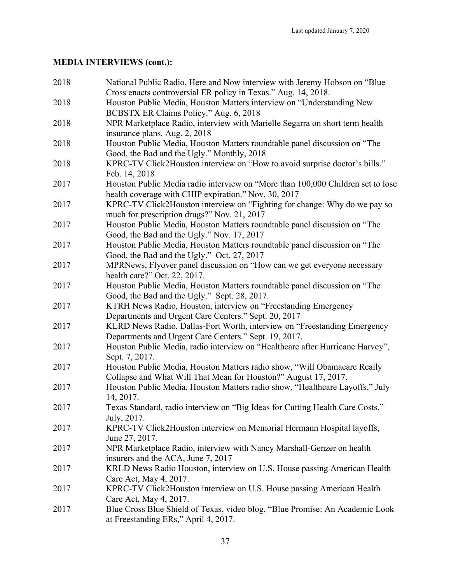| 2018 | National Public Radio, Here and Now interview with Jeremy Hobson on "Blue"<br>Cross enacts controversial ER policy in Texas." Aug. 14, 2018. |
|------|----------------------------------------------------------------------------------------------------------------------------------------------|
| 2018 | Houston Public Media, Houston Matters interview on "Understanding New<br>BCBSTX ER Claims Policy." Aug. 6, 2018                              |
| 2018 | NPR Marketplace Radio, interview with Marielle Segarra on short term health<br>insurance plans. Aug. 2, 2018                                 |
| 2018 | Houston Public Media, Houston Matters roundtable panel discussion on "The<br>Good, the Bad and the Ugly." Monthly, 2018                      |
| 2018 | KPRC-TV Click2Houston interview on "How to avoid surprise doctor's bills."<br>Feb. 14, 2018                                                  |
| 2017 | Houston Public Media radio interview on "More than 100,000 Children set to lose<br>health coverage with CHIP expiration." Nov. 30, 2017      |
| 2017 | KPRC-TV Click2Houston interview on "Fighting for change: Why do we pay so<br>much for prescription drugs?" Nov. 21, 2017                     |
| 2017 | Houston Public Media, Houston Matters roundtable panel discussion on "The<br>Good, the Bad and the Ugly." Nov. 17, 2017                      |
| 2017 | Houston Public Media, Houston Matters roundtable panel discussion on "The<br>Good, the Bad and the Ugly." Oct. 27, 2017                      |
| 2017 | MPRNews, Flyover panel discussion on "How can we get everyone necessary<br>health care?" Oct. 22, 2017.                                      |
| 2017 | Houston Public Media, Houston Matters roundtable panel discussion on "The<br>Good, the Bad and the Ugly." Sept. 28, 2017.                    |
| 2017 | KTRH News Radio, Houston, interview on "Freestanding Emergency<br>Departments and Urgent Care Centers." Sept. 20, 2017                       |
| 2017 | KLRD News Radio, Dallas-Fort Worth, interview on "Freestanding Emergency<br>Departments and Urgent Care Centers." Sept. 19, 2017.            |
| 2017 | Houston Public Media, radio interview on "Healthcare after Hurricane Harvey",<br>Sept. 7, 2017.                                              |
| 2017 | Houston Public Media, Houston Matters radio show, "Will Obamacare Really<br>Collapse and What Will That Mean for Houston?" August 17, 2017.  |
| 2017 | Houston Public Media, Houston Matters radio show, "Healthcare Layoffs," July<br>14, 2017.                                                    |
| 2017 | Texas Standard, radio interview on "Big Ideas for Cutting Health Care Costs."<br>July, 2017.                                                 |
| 2017 | KPRC-TV Click2Houston interview on Memorial Hermann Hospital layoffs,<br>June 27, 2017.                                                      |
| 2017 | NPR Marketplace Radio, interview with Nancy Marshall-Genzer on health<br>insurers and the ACA, June 7, 2017                                  |
| 2017 | KRLD News Radio Houston, interview on U.S. House passing American Health<br>Care Act, May 4, 2017.                                           |
| 2017 | KPRC-TV Click2Houston interview on U.S. House passing American Health<br>Care Act, May 4, 2017.                                              |
| 2017 | Blue Cross Blue Shield of Texas, video blog, "Blue Promise: An Academic Look<br>at Freestanding ERs," April 4, 2017.                         |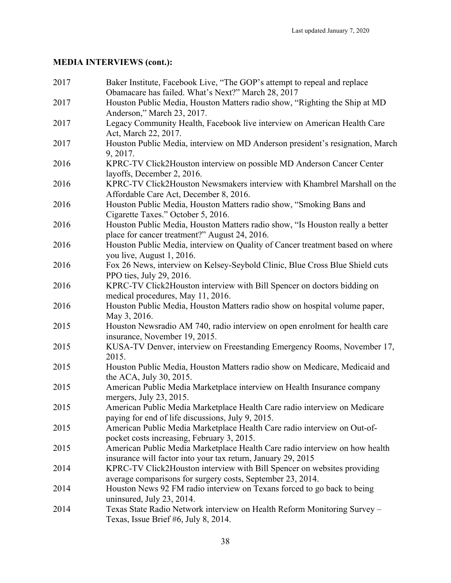| 2017 | Baker Institute, Facebook Live, "The GOP's attempt to repeal and replace<br>Obamacare has failed. What's Next?" March 28, 2017 |
|------|--------------------------------------------------------------------------------------------------------------------------------|
| 2017 | Houston Public Media, Houston Matters radio show, "Righting the Ship at MD                                                     |
|      | Anderson," March 23, 2017.                                                                                                     |
| 2017 | Legacy Community Health, Facebook live interview on American Health Care                                                       |
|      | Act, March 22, 2017.                                                                                                           |
| 2017 | Houston Public Media, interview on MD Anderson president's resignation, March                                                  |
|      | 9, 2017.                                                                                                                       |
| 2016 | KPRC-TV Click2Houston interview on possible MD Anderson Cancer Center                                                          |
|      | layoffs, December 2, 2016.                                                                                                     |
| 2016 | KPRC-TV Click2Houston Newsmakers interview with Khambrel Marshall on the                                                       |
|      | Affordable Care Act, December 8, 2016.                                                                                         |
| 2016 | Houston Public Media, Houston Matters radio show, "Smoking Bans and                                                            |
|      | Cigarette Taxes." October 5, 2016.                                                                                             |
| 2016 | Houston Public Media, Houston Matters radio show, "Is Houston really a better                                                  |
|      | place for cancer treatment?" August 24, 2016.                                                                                  |
| 2016 | Houston Public Media, interview on Quality of Cancer treatment based on where                                                  |
|      | you live, August 1, 2016.                                                                                                      |
| 2016 | Fox 26 News, interview on Kelsey-Seybold Clinic, Blue Cross Blue Shield cuts                                                   |
|      | PPO ties, July 29, 2016.                                                                                                       |
| 2016 | KPRC-TV Click2Houston interview with Bill Spencer on doctors bidding on                                                        |
|      | medical procedures, May 11, 2016.                                                                                              |
| 2016 | Houston Public Media, Houston Matters radio show on hospital volume paper,                                                     |
|      | May 3, 2016.                                                                                                                   |
| 2015 | Houston Newsradio AM 740, radio interview on open enrolment for health care                                                    |
|      | insurance, November 19, 2015.                                                                                                  |
| 2015 | KUSA-TV Denver, interview on Freestanding Emergency Rooms, November 17,<br>2015.                                               |
| 2015 | Houston Public Media, Houston Matters radio show on Medicare, Medicaid and                                                     |
|      | the ACA, July 30, 2015.                                                                                                        |
| 2015 | American Public Media Marketplace interview on Health Insurance company                                                        |
|      | mergers, July 23, 2015.                                                                                                        |
| 2015 | American Public Media Marketplace Health Care radio interview on Medicare                                                      |
|      | paying for end of life discussions, July 9, 2015.                                                                              |
| 2015 | American Public Media Marketplace Health Care radio interview on Out-of-                                                       |
|      | pocket costs increasing, February 3, 2015.                                                                                     |
| 2015 | American Public Media Marketplace Health Care radio interview on how health                                                    |
|      | insurance will factor into your tax return, January 29, 2015                                                                   |
| 2014 | KPRC-TV Click2Houston interview with Bill Spencer on websites providing                                                        |
|      | average comparisons for surgery costs, September 23, 2014.                                                                     |
| 2014 | Houston News 92 FM radio interview on Texans forced to go back to being                                                        |
|      | uninsured, July 23, 2014.                                                                                                      |
| 2014 | Texas State Radio Network interview on Health Reform Monitoring Survey -                                                       |
|      | Texas, Issue Brief #6, July 8, 2014.                                                                                           |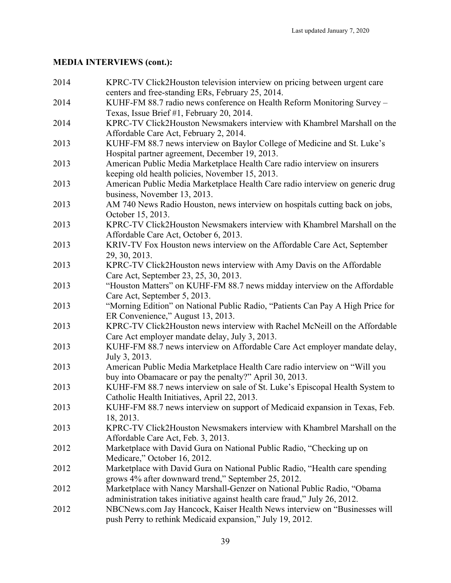| 2014 | KPRC-TV Click2Houston television interview on pricing between urgent care<br>centers and free-standing ERs, February 25, 2014.                        |
|------|-------------------------------------------------------------------------------------------------------------------------------------------------------|
| 2014 | KUHF-FM 88.7 radio news conference on Health Reform Monitoring Survey -<br>Texas, Issue Brief #1, February 20, 2014.                                  |
| 2014 | KPRC-TV Click2Houston Newsmakers interview with Khambrel Marshall on the<br>Affordable Care Act, February 2, 2014.                                    |
| 2013 | KUHF-FM 88.7 news interview on Baylor College of Medicine and St. Luke's<br>Hospital partner agreement, December 19, 2013.                            |
| 2013 | American Public Media Marketplace Health Care radio interview on insurers<br>keeping old health policies, November 15, 2013.                          |
| 2013 | American Public Media Marketplace Health Care radio interview on generic drug<br>business, November 13, 2013.                                         |
| 2013 | AM 740 News Radio Houston, news interview on hospitals cutting back on jobs,<br>October 15, 2013.                                                     |
| 2013 | KPRC-TV Click2Houston Newsmakers interview with Khambrel Marshall on the<br>Affordable Care Act, October 6, 2013.                                     |
| 2013 | KRIV-TV Fox Houston news interview on the Affordable Care Act, September<br>29, 30, 2013.                                                             |
| 2013 | KPRC-TV Click2Houston news interview with Amy Davis on the Affordable<br>Care Act, September 23, 25, 30, 2013.                                        |
| 2013 | "Houston Matters" on KUHF-FM 88.7 news midday interview on the Affordable<br>Care Act, September 5, 2013.                                             |
| 2013 | "Morning Edition" on National Public Radio, "Patients Can Pay A High Price for<br>ER Convenience," August 13, 2013.                                   |
| 2013 | KPRC-TV Click2Houston news interview with Rachel McNeill on the Affordable<br>Care Act employer mandate delay, July 3, 2013.                          |
| 2013 | KUHF-FM 88.7 news interview on Affordable Care Act employer mandate delay,<br>July 3, 2013.                                                           |
| 2013 | American Public Media Marketplace Health Care radio interview on "Will you<br>buy into Obamacare or pay the penalty?" April 30, 2013.                 |
| 2013 | KUHF-FM 88.7 news interview on sale of St. Luke's Episcopal Health System to<br>Catholic Health Initiatives, April 22, 2013.                          |
| 2013 | KUHF-FM 88.7 news interview on support of Medicaid expansion in Texas, Feb.<br>18, 2013.                                                              |
| 2013 | KPRC-TV Click2Houston Newsmakers interview with Khambrel Marshall on the<br>Affordable Care Act, Feb. 3, 2013.                                        |
| 2012 | Marketplace with David Gura on National Public Radio, "Checking up on<br>Medicare," October 16, 2012.                                                 |
| 2012 | Marketplace with David Gura on National Public Radio, "Health care spending<br>grows 4% after downward trend," September 25, 2012.                    |
| 2012 | Marketplace with Nancy Marshall-Genzer on National Public Radio, "Obama<br>administration takes initiative against health care fraud," July 26, 2012. |
| 2012 | NBCNews.com Jay Hancock, Kaiser Health News interview on "Businesses will<br>push Perry to rethink Medicaid expansion," July 19, 2012.                |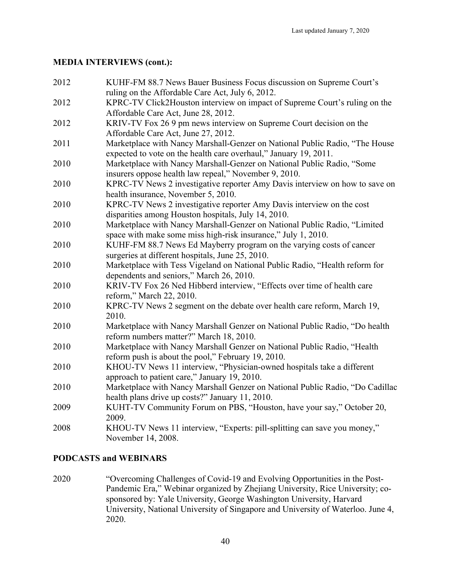| 2012 | KUHF-FM 88.7 News Bauer Business Focus discussion on Supreme Court's                                                                            |
|------|-------------------------------------------------------------------------------------------------------------------------------------------------|
|      | ruling on the Affordable Care Act, July 6, 2012.                                                                                                |
| 2012 | KPRC-TV Click2Houston interview on impact of Supreme Court's ruling on the                                                                      |
|      | Affordable Care Act, June 28, 2012.                                                                                                             |
| 2012 | KRIV-TV Fox 26 9 pm news interview on Supreme Court decision on the                                                                             |
|      | Affordable Care Act, June 27, 2012.                                                                                                             |
| 2011 | Marketplace with Nancy Marshall-Genzer on National Public Radio, "The House<br>expected to vote on the health care overhaul," January 19, 2011. |
| 2010 | Marketplace with Nancy Marshall-Genzer on National Public Radio, "Some<br>insurers oppose health law repeal," November 9, 2010.                 |
| 2010 | KPRC-TV News 2 investigative reporter Amy Davis interview on how to save on<br>health insurance, November 5, 2010.                              |
| 2010 | KPRC-TV News 2 investigative reporter Amy Davis interview on the cost                                                                           |
|      | disparities among Houston hospitals, July 14, 2010.                                                                                             |
| 2010 | Marketplace with Nancy Marshall-Genzer on National Public Radio, "Limited<br>space with make some miss high-risk insurance," July 1, 2010.      |
| 2010 | KUHF-FM 88.7 News Ed Mayberry program on the varying costs of cancer<br>surgeries at different hospitals, June 25, 2010.                        |
| 2010 | Marketplace with Tess Vigeland on National Public Radio, "Health reform for                                                                     |
|      | dependents and seniors," March 26, 2010.<br>KRIV-TV Fox 26 Ned Hibberd interview, "Effects over time of health care                             |
| 2010 | reform," March 22, 2010.                                                                                                                        |
| 2010 | KPRC-TV News 2 segment on the debate over health care reform, March 19,<br>2010.                                                                |
| 2010 | Marketplace with Nancy Marshall Genzer on National Public Radio, "Do health<br>reform numbers matter?" March 18, 2010.                          |
| 2010 | Marketplace with Nancy Marshall Genzer on National Public Radio, "Health<br>reform push is about the pool," February 19, 2010.                  |
| 2010 | KHOU-TV News 11 interview, "Physician-owned hospitals take a different<br>approach to patient care," January 19, 2010.                          |
| 2010 | Marketplace with Nancy Marshall Genzer on National Public Radio, "Do Cadillac                                                                   |
|      | health plans drive up costs?" January 11, 2010.                                                                                                 |
| 2009 | KUHT-TV Community Forum on PBS, "Houston, have your say," October 20,<br>2009.                                                                  |
| 2008 | KHOU-TV News 11 interview, "Experts: pill-splitting can save you money,"<br>November 14, 2008.                                                  |

#### **PODCASTS and WEBINARS**

2020 "Overcoming Challenges of Covid-19 and Evolving Opportunities in the Post-Pandemic Era," Webinar organized by Zhejiang University, Rice University; cosponsored by: Yale University, George Washington University, Harvard University, National University of Singapore and University of Waterloo. June 4, 2020.